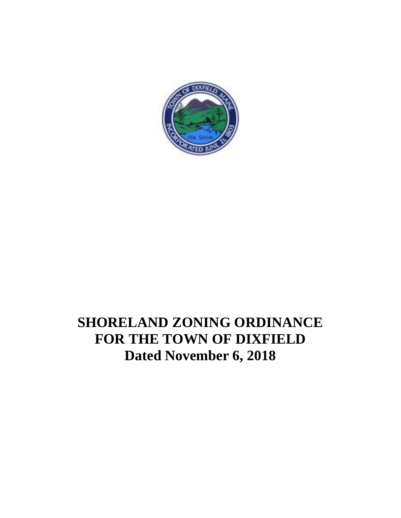

### **SHORELAND ZONING ORDINANCE FOR THE TOWN OF DIXFIELD Dated November 6, 2018**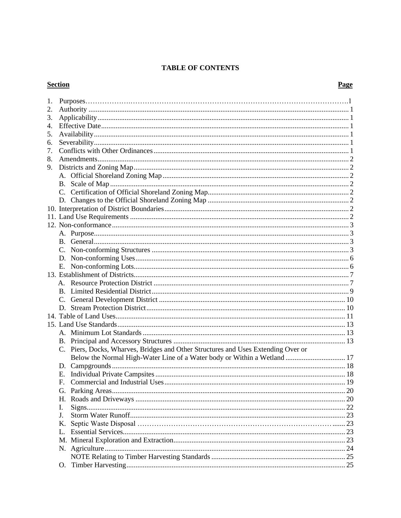#### **TABLE OF CONTENTS**

### **Section**

### Page

| 1. |             |                                                                                   |      |
|----|-------------|-----------------------------------------------------------------------------------|------|
| 2. |             |                                                                                   |      |
| 3. |             |                                                                                   |      |
| 4. |             |                                                                                   |      |
| 5. |             |                                                                                   |      |
| 6. |             |                                                                                   |      |
| 7. |             |                                                                                   |      |
| 8. |             |                                                                                   |      |
| 9. |             |                                                                                   |      |
|    |             |                                                                                   |      |
|    |             |                                                                                   |      |
|    |             |                                                                                   |      |
|    |             |                                                                                   |      |
|    |             |                                                                                   |      |
|    |             |                                                                                   |      |
|    |             |                                                                                   |      |
|    |             |                                                                                   |      |
|    |             |                                                                                   |      |
|    |             |                                                                                   |      |
|    |             |                                                                                   |      |
|    |             |                                                                                   |      |
|    | Е.          |                                                                                   |      |
|    |             |                                                                                   |      |
|    |             |                                                                                   |      |
|    |             |                                                                                   |      |
|    |             |                                                                                   |      |
|    |             |                                                                                   |      |
|    |             |                                                                                   |      |
|    |             |                                                                                   |      |
|    |             |                                                                                   |      |
|    |             |                                                                                   |      |
|    |             | C. Piers, Docks, Wharves, Bridges and Other Structures and Uses Extending Over or |      |
|    |             | Below the Normal High-Water Line of a Water body or Within a Wetland  17          |      |
|    |             |                                                                                   |      |
|    | Е.          |                                                                                   |      |
|    | $F_{\cdot}$ |                                                                                   |      |
|    |             |                                                                                   |      |
|    |             |                                                                                   |      |
|    | Н.          |                                                                                   |      |
|    | I.          |                                                                                   |      |
|    | J.          |                                                                                   |      |
|    | Κ.          |                                                                                   |      |
|    | L.          |                                                                                   |      |
|    | M.          |                                                                                   | . 23 |
|    |             |                                                                                   | 24   |
|    |             |                                                                                   |      |
|    | O.          |                                                                                   |      |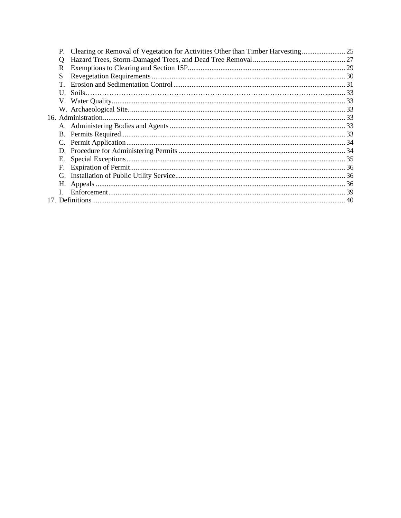|   | P. Clearing or Removal of Vegetation for Activities Other than Timber Harvesting |  |
|---|----------------------------------------------------------------------------------|--|
| Q |                                                                                  |  |
| R |                                                                                  |  |
| S |                                                                                  |  |
|   |                                                                                  |  |
|   |                                                                                  |  |
|   |                                                                                  |  |
|   |                                                                                  |  |
|   |                                                                                  |  |
|   |                                                                                  |  |
|   |                                                                                  |  |
|   |                                                                                  |  |
|   |                                                                                  |  |
|   |                                                                                  |  |
|   |                                                                                  |  |
|   |                                                                                  |  |
|   |                                                                                  |  |
|   |                                                                                  |  |
|   |                                                                                  |  |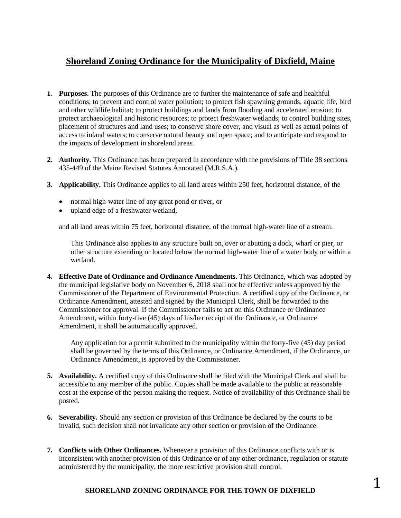### **Shoreland Zoning Ordinance for the Municipality of Dixfield, Maine**

- **1. Purposes.** The purposes of this Ordinance are to further the maintenance of safe and healthful conditions; to prevent and control water pollution; to protect fish spawning grounds, aquatic life, bird and other wildlife habitat; to protect buildings and lands from flooding and accelerated erosion; to protect archaeological and historic resources; to protect freshwater wetlands; to control building sites, placement of structures and land uses; to conserve shore cover, and visual as well as actual points of access to inland waters; to conserve natural beauty and open space; and to anticipate and respond to the impacts of development in shoreland areas.
- **2. Authority.** This Ordinance has been prepared in accordance with the provisions of Title 38 sections 435-449 of the Maine Revised Statutes Annotated (M.R.S.A.).
- **3. Applicability.** This Ordinance applies to all land areas within 250 feet, horizontal distance, of the
	- normal high-water line of any great pond or river, or
	- upland edge of a freshwater wetland,

and all land areas within 75 feet, horizontal distance, of the normal high-water line of a stream.

This Ordinance also applies to any structure built on, over or abutting a dock, wharf or pier, or other structure extending or located below the normal high-water line of a water body or within a wetland.

**4. Effective Date of Ordinance and Ordinance Amendments.** This Ordinance, which was adopted by the municipal legislative body on November 6, 2018 shall not be effective unless approved by the Commissioner of the Department of Environmental Protection. A certified copy of the Ordinance, or Ordinance Amendment, attested and signed by the Municipal Clerk, shall be forwarded to the Commissioner for approval. If the Commissioner fails to act on this Ordinance or Ordinance Amendment, within forty-five (45) days of his/her receipt of the Ordinance, or Ordinance Amendment, it shall be automatically approved.

Any application for a permit submitted to the municipality within the forty-five (45) day period shall be governed by the terms of this Ordinance, or Ordinance Amendment, if the Ordinance, or Ordinance Amendment, is approved by the Commissioner.

- **5. Availability.** A certified copy of this Ordinance shall be filed with the Municipal Clerk and shall be accessible to any member of the public. Copies shall be made available to the public at reasonable cost at the expense of the person making the request. Notice of availability of this Ordinance shall be posted.
- **6. Severability.** Should any section or provision of this Ordinance be declared by the courts to be invalid, such decision shall not invalidate any other section or provision of the Ordinance.
- **7. Conflicts with Other Ordinances.** Whenever a provision of this Ordinance conflicts with or is inconsistent with another provision of this Ordinance or of any other ordinance, regulation or statute administered by the municipality, the more restrictive provision shall control.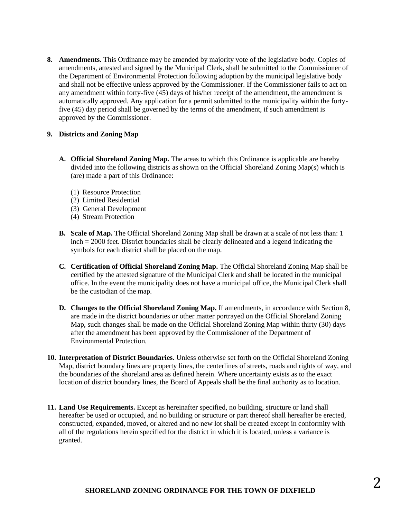**8. Amendments.** This Ordinance may be amended by majority vote of the legislative body. Copies of amendments, attested and signed by the Municipal Clerk, shall be submitted to the Commissioner of the Department of Environmental Protection following adoption by the municipal legislative body and shall not be effective unless approved by the Commissioner. If the Commissioner fails to act on any amendment within forty-five  $(45)$  days of his/her receipt of the amendment, the amendment is automatically approved. Any application for a permit submitted to the municipality within the fortyfive (45) day period shall be governed by the terms of the amendment, if such amendment is approved by the Commissioner.

#### **9. Districts and Zoning Map**

- **A. Official Shoreland Zoning Map.** The areas to which this Ordinance is applicable are hereby divided into the following districts as shown on the Official Shoreland Zoning Map(s) which is (are) made a part of this Ordinance:
	- (1) Resource Protection
	- (2) Limited Residential
	- (3) General Development
	- (4) Stream Protection
- **B. Scale of Map.** The Official Shoreland Zoning Map shall be drawn at a scale of not less than: 1 inch = 2000 feet. District boundaries shall be clearly delineated and a legend indicating the symbols for each district shall be placed on the map.
- **C. Certification of Official Shoreland Zoning Map.** The Official Shoreland Zoning Map shall be certified by the attested signature of the Municipal Clerk and shall be located in the municipal office. In the event the municipality does not have a municipal office, the Municipal Clerk shall be the custodian of the map.
- **D. Changes to the Official Shoreland Zoning Map.** If amendments, in accordance with Section 8, are made in the district boundaries or other matter portrayed on the Official Shoreland Zoning Map, such changes shall be made on the Official Shoreland Zoning Map within thirty (30) days after the amendment has been approved by the Commissioner of the Department of Environmental Protection.
- **10. Interpretation of District Boundaries.** Unless otherwise set forth on the Official Shoreland Zoning Map, district boundary lines are property lines, the centerlines of streets, roads and rights of way, and the boundaries of the shoreland area as defined herein. Where uncertainty exists as to the exact location of district boundary lines, the Board of Appeals shall be the final authority as to location.
- **11. Land Use Requirements.** Except as hereinafter specified, no building, structure or land shall hereafter be used or occupied, and no building or structure or part thereof shall hereafter be erected, constructed, expanded, moved, or altered and no new lot shall be created except in conformity with all of the regulations herein specified for the district in which it is located, unless a variance is granted.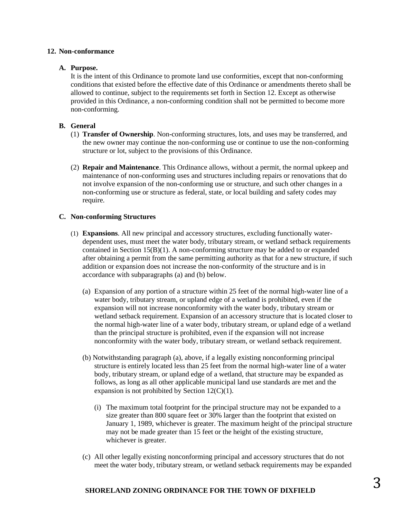#### **12. Non-conformance**

#### **A. Purpose.**

It is the intent of this Ordinance to promote land use conformities, except that non-conforming conditions that existed before the effective date of this Ordinance or amendments thereto shall be allowed to continue, subject to the requirements set forth in Section 12. Except as otherwise provided in this Ordinance, a non-conforming condition shall not be permitted to become more non-conforming.

#### **B. General**

- (1) **Transfer of Ownership**. Non-conforming structures, lots, and uses may be transferred, and the new owner may continue the non-conforming use or continue to use the non-conforming structure or lot, subject to the provisions of this Ordinance.
- (2) **Repair and Maintenance**. This Ordinance allows, without a permit, the normal upkeep and maintenance of non-conforming uses and structures including repairs or renovations that do not involve expansion of the non-conforming use or structure, and such other changes in a non-conforming use or structure as federal, state, or local building and safety codes may require.

#### **C. Non-conforming Structures**

- (1) **Expansions**. All new principal and accessory structures, excluding functionally waterdependent uses, must meet the water body, tributary stream, or wetland setback requirements contained in Section 15(B)(1). A non-conforming structure may be added to or expanded after obtaining a permit from the same permitting authority as that for a new structure, if such addition or expansion does not increase the non-conformity of the structure and is in accordance with subparagraphs (a) and (b) below.
	- (a) Expansion of any portion of a structure within 25 feet of the normal high-water line of a water body, tributary stream, or upland edge of a wetland is prohibited, even if the expansion will not increase nonconformity with the water body, tributary stream or wetland setback requirement. Expansion of an accessory structure that is located closer to the normal high-water line of a water body, tributary stream, or upland edge of a wetland than the principal structure is prohibited, even if the expansion will not increase nonconformity with the water body, tributary stream, or wetland setback requirement.
	- (b) Notwithstanding paragraph (a), above, if a legally existing nonconforming principal structure is entirely located less than 25 feet from the normal high-water line of a water body, tributary stream, or upland edge of a wetland, that structure may be expanded as follows, as long as all other applicable municipal land use standards are met and the expansion is not prohibited by Section 12(C)(1).
		- (i) The maximum total footprint for the principal structure may not be expanded to a size greater than 800 square feet or 30% larger than the footprint that existed on January 1, 1989, whichever is greater. The maximum height of the principal structure may not be made greater than 15 feet or the height of the existing structure, whichever is greater.
	- (c) All other legally existing nonconforming principal and accessory structures that do not meet the water body, tributary stream, or wetland setback requirements may be expanded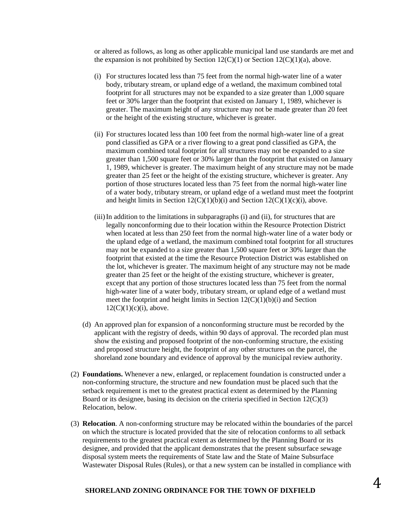or altered as follows, as long as other applicable municipal land use standards are met and the expansion is not prohibited by Section  $12(C)(1)$  or Section  $12(C)(1)(a)$ , above.

- (i) For structures located less than 75 feet from the normal high-water line of a water body, tributary stream, or upland edge of a wetland, the maximum combined total footprint for all structures may not be expanded to a size greater than 1,000 square feet or 30% larger than the footprint that existed on January 1, 1989, whichever is greater. The maximum height of any structure may not be made greater than 20 feet or the height of the existing structure, whichever is greater.
- (ii) For structures located less than 100 feet from the normal high-water line of a great pond classified as GPA or a river flowing to a great pond classified as GPA, the maximum combined total footprint for all structures may not be expanded to a size greater than 1,500 square feet or 30% larger than the footprint that existed on January 1, 1989, whichever is greater. The maximum height of any structure may not be made greater than 25 feet or the height of the existing structure, whichever is greater. Any portion of those structures located less than 75 feet from the normal high-water line of a water body, tributary stream, or upland edge of a wetland must meet the footprint and height limits in Section  $12(C)(1)(b)(i)$  and Section  $12(C)(1)(c)(i)$ , above.
- (iii)In addition to the limitations in subparagraphs (i) and (ii), for structures that are legally nonconforming due to their location within the Resource Protection District when located at less than 250 feet from the normal high-water line of a water body or the upland edge of a wetland, the maximum combined total footprint for all structures may not be expanded to a size greater than 1,500 square feet or 30% larger than the footprint that existed at the time the Resource Protection District was established on the lot, whichever is greater. The maximum height of any structure may not be made greater than 25 feet or the height of the existing structure, whichever is greater, except that any portion of those structures located less than 75 feet from the normal high-water line of a water body, tributary stream, or upland edge of a wetland must meet the footprint and height limits in Section  $12(C)(1)(b)(i)$  and Section  $12(C)(1)(c)(i)$ , above.
- (d) An approved plan for expansion of a nonconforming structure must be recorded by the applicant with the registry of deeds, within 90 days of approval. The recorded plan must show the existing and proposed footprint of the non-conforming structure, the existing and proposed structure height, the footprint of any other structures on the parcel, the shoreland zone boundary and evidence of approval by the municipal review authority.
- (2) **Foundations.** Whenever a new, enlarged, or replacement foundation is constructed under a non-conforming structure, the structure and new foundation must be placed such that the setback requirement is met to the greatest practical extent as determined by the Planning Board or its designee, basing its decision on the criteria specified in Section  $12(C)(3)$ Relocation, below.
- (3) **Relocation**. A non-conforming structure may be relocated within the boundaries of the parcel on which the structure is located provided that the site of relocation conforms to all setback requirements to the greatest practical extent as determined by the Planning Board or its designee, and provided that the applicant demonstrates that the present subsurface sewage disposal system meets the requirements of State law and the State of Maine Subsurface Wastewater Disposal Rules (Rules), or that a new system can be installed in compliance with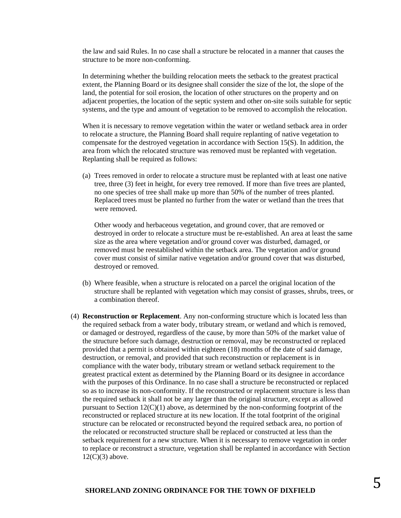the law and said Rules. In no case shall a structure be relocated in a manner that causes the structure to be more non-conforming.

In determining whether the building relocation meets the setback to the greatest practical extent, the Planning Board or its designee shall consider the size of the lot, the slope of the land, the potential for soil erosion, the location of other structures on the property and on adjacent properties, the location of the septic system and other on-site soils suitable for septic systems, and the type and amount of vegetation to be removed to accomplish the relocation.

When it is necessary to remove vegetation within the water or wetland setback area in order to relocate a structure, the Planning Board shall require replanting of native vegetation to compensate for the destroyed vegetation in accordance with Section 15(S). In addition, the area from which the relocated structure was removed must be replanted with vegetation. Replanting shall be required as follows:

(a) Trees removed in order to relocate a structure must be replanted with at least one native tree, three (3) feet in height, for every tree removed. If more than five trees are planted, no one species of tree shall make up more than 50% of the number of trees planted. Replaced trees must be planted no further from the water or wetland than the trees that were removed.

Other woody and herbaceous vegetation, and ground cover, that are removed or destroyed in order to relocate a structure must be re-established. An area at least the same size as the area where vegetation and/or ground cover was disturbed, damaged, or removed must be reestablished within the setback area. The vegetation and/or ground cover must consist of similar native vegetation and/or ground cover that was disturbed, destroyed or removed.

- (b) Where feasible, when a structure is relocated on a parcel the original location of the structure shall be replanted with vegetation which may consist of grasses, shrubs, trees, or a combination thereof.
- (4) **Reconstruction or Replacement**. Any non-conforming structure which is located less than the required setback from a water body, tributary stream, or wetland and which is removed, or damaged or destroyed, regardless of the cause, by more than 50% of the market value of the structure before such damage, destruction or removal, may be reconstructed or replaced provided that a permit is obtained within eighteen (18) months of the date of said damage, destruction, or removal, and provided that such reconstruction or replacement is in compliance with the water body, tributary stream or wetland setback requirement to the greatest practical extent as determined by the Planning Board or its designee in accordance with the purposes of this Ordinance. In no case shall a structure be reconstructed or replaced so as to increase its non-conformity. If the reconstructed or replacement structure is less than the required setback it shall not be any larger than the original structure, except as allowed pursuant to Section 12(C)(1) above, as determined by the non-conforming footprint of the reconstructed or replaced structure at its new location. If the total footprint of the original structure can be relocated or reconstructed beyond the required setback area, no portion of the relocated or reconstructed structure shall be replaced or constructed at less than the setback requirement for a new structure. When it is necessary to remove vegetation in order to replace or reconstruct a structure, vegetation shall be replanted in accordance with Section  $12(C)(3)$  above.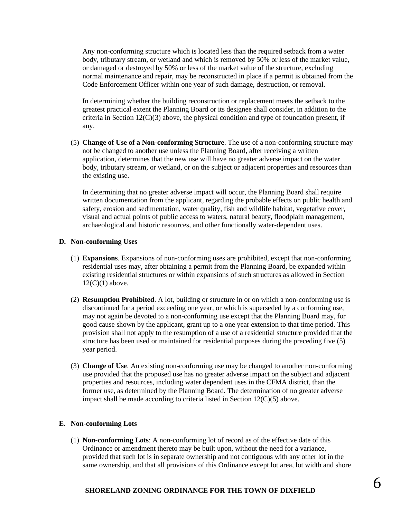Any non-conforming structure which is located less than the required setback from a water body, tributary stream, or wetland and which is removed by 50% or less of the market value, or damaged or destroyed by 50% or less of the market value of the structure, excluding normal maintenance and repair, may be reconstructed in place if a permit is obtained from the Code Enforcement Officer within one year of such damage, destruction, or removal.

In determining whether the building reconstruction or replacement meets the setback to the greatest practical extent the Planning Board or its designee shall consider, in addition to the criteria in Section  $12(C)(3)$  above, the physical condition and type of foundation present, if any.

(5) **Change of Use of a Non-conforming Structure**. The use of a non-conforming structure may not be changed to another use unless the Planning Board, after receiving a written application, determines that the new use will have no greater adverse impact on the water body, tributary stream, or wetland, or on the subject or adjacent properties and resources than the existing use.

In determining that no greater adverse impact will occur, the Planning Board shall require written documentation from the applicant, regarding the probable effects on public health and safety, erosion and sedimentation, water quality, fish and wildlife habitat, vegetative cover, visual and actual points of public access to waters, natural beauty, floodplain management, archaeological and historic resources, and other functionally water-dependent uses.

#### **D. Non-conforming Uses**

- (1) **Expansions**. Expansions of non-conforming uses are prohibited, except that non-conforming residential uses may, after obtaining a permit from the Planning Board, be expanded within existing residential structures or within expansions of such structures as allowed in Section  $12(C)(1)$  above.
- (2) **Resumption Prohibited**. A lot, building or structure in or on which a non-conforming use is discontinued for a period exceeding one year, or which is superseded by a conforming use, may not again be devoted to a non-conforming use except that the Planning Board may, for good cause shown by the applicant, grant up to a one year extension to that time period. This provision shall not apply to the resumption of a use of a residential structure provided that the structure has been used or maintained for residential purposes during the preceding five (5) year period.
- (3) **Change of Use**. An existing non-conforming use may be changed to another non-conforming use provided that the proposed use has no greater adverse impact on the subject and adjacent properties and resources, including water dependent uses in the CFMA district, than the former use, as determined by the Planning Board. The determination of no greater adverse impact shall be made according to criteria listed in Section 12(C)(5) above.

#### **E. Non-conforming Lots**

(1) **Non-conforming Lots**: A non-conforming lot of record as of the effective date of this Ordinance or amendment thereto may be built upon, without the need for a variance, provided that such lot is in separate ownership and not contiguous with any other lot in the same ownership, and that all provisions of this Ordinance except lot area, lot width and shore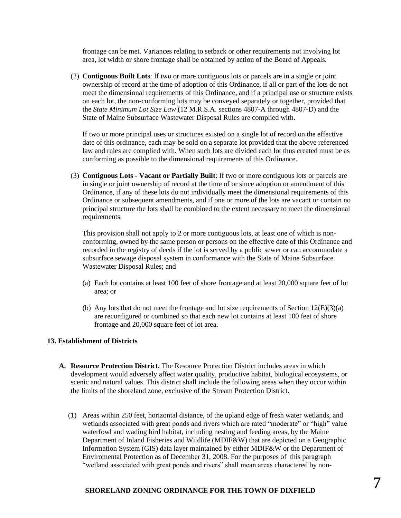frontage can be met. Variances relating to setback or other requirements not involving lot area, lot width or shore frontage shall be obtained by action of the Board of Appeals.

(2) **Contiguous Built Lots**: If two or more contiguous lots or parcels are in a single or joint ownership of record at the time of adoption of this Ordinance, if all or part of the lots do not meet the dimensional requirements of this Ordinance, and if a principal use or structure exists on each lot, the non-conforming lots may be conveyed separately or together, provided that the *State Minimum Lot Size Law* (12 M.R.S.A. sections 4807-A through 4807-D) and the State of Maine Subsurface Wastewater Disposal Rules are complied with.

If two or more principal uses or structures existed on a single lot of record on the effective date of this ordinance, each may be sold on a separate lot provided that the above referenced law and rules are complied with. When such lots are divided each lot thus created must be as conforming as possible to the dimensional requirements of this Ordinance.

(3) **Contiguous Lots - Vacant or Partially Built**: If two or more contiguous lots or parcels are in single or joint ownership of record at the time of or since adoption or amendment of this Ordinance, if any of these lots do not individually meet the dimensional requirements of this Ordinance or subsequent amendments, and if one or more of the lots are vacant or contain no principal structure the lots shall be combined to the extent necessary to meet the dimensional requirements.

This provision shall not apply to 2 or more contiguous lots, at least one of which is nonconforming, owned by the same person or persons on the effective date of this Ordinance and recorded in the registry of deeds if the lot is served by a public sewer or can accommodate a subsurface sewage disposal system in conformance with the State of Maine Subsurface Wastewater Disposal Rules; and

- (a) Each lot contains at least 100 feet of shore frontage and at least 20,000 square feet of lot area; or
- (b) Any lots that do not meet the frontage and lot size requirements of Section  $12(E)(3)(a)$ are reconfigured or combined so that each new lot contains at least 100 feet of shore frontage and 20,000 square feet of lot area.

#### **13. Establishment of Districts**

- **A. Resource Protection District.** The Resource Protection District includes areas in which development would adversely affect water quality, productive habitat, biological ecosystems, or scenic and natural values. This district shall include the following areas when they occur within the limits of the shoreland zone, exclusive of the Stream Protection District.
	- (1) Areas within 250 feet, horizontal distance, of the upland edge of fresh water wetlands, and wetlands associated with great ponds and rivers which are rated "moderate" or "high" value waterfowl and wading bird habitat, including nesting and feeding areas, by the Maine Department of Inland Fisheries and Wildlife (MDIF&W) that are depicted on a Geographic Information System (GIS) data layer maintained by either MDIF&W or the Department of Enviromental Protection as of December 31, 2008. For the purposes of this paragraph "wetland associated with great ponds and rivers" shall mean areas charactered by non-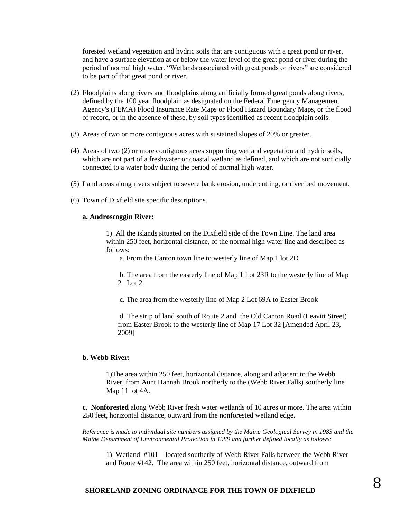forested wetland vegetation and hydric soils that are contiguous with a great pond or river, and have a surface elevation at or below the water level of the great pond or river during the period of normal high water. "Wetlands associated with great ponds or rivers" are considered to be part of that great pond or river.

- (2) Floodplains along rivers and floodplains along artificially formed great ponds along rivers, defined by the 100 year floodplain as designated on the Federal Emergency Management Agency's (FEMA) Flood Insurance Rate Maps or Flood Hazard Boundary Maps, or the flood of record, or in the absence of these, by soil types identified as recent floodplain soils.
- (3) Areas of two or more contiguous acres with sustained slopes of 20% or greater.
- (4) Areas of two (2) or more contiguous acres supporting wetland vegetation and hydric soils, which are not part of a freshwater or coastal wetland as defined, and which are not surficially connected to a water body during the period of normal high water.
- (5) Land areas along rivers subject to severe bank erosion, undercutting, or river bed movement.
- (6) Town of Dixfield site specific descriptions.

#### **a. Androscoggin River:**

1) All the islands situated on the Dixfield side of the Town Line. The land area within 250 feet, horizontal distance, of the normal high water line and described as follows:

a. From the Canton town line to westerly line of Map 1 lot 2D

b. The area from the easterly line of Map 1 Lot 23R to the westerly line of Map 2 Lot 2

c. The area from the westerly line of Map 2 Lot 69A to Easter Brook

d. The strip of land south of Route 2 and the Old Canton Road (Leavitt Street) from Easter Brook to the westerly line of Map 17 Lot 32 [Amended April 23, 2009]

#### **b. Webb River:**

1)The area within 250 feet, horizontal distance, along and adjacent to the Webb River, from Aunt Hannah Brook northerly to the (Webb River Falls) southerly line Map 11 lot 4A.

**c. Nonforested** along Webb River fresh water wetlands of 10 acres or more. The area within 250 feet, horizontal distance, outward from the nonforested wetland edge.

*Reference is made to individual site numbers assigned by the Maine Geological Survey in 1983 and the Maine Department of Environmental Protection in 1989 and further defined locally as follows:*

1) Wetland #101 – located southerly of Webb River Falls between the Webb River and Route #142. The area within 250 feet, horizontal distance, outward from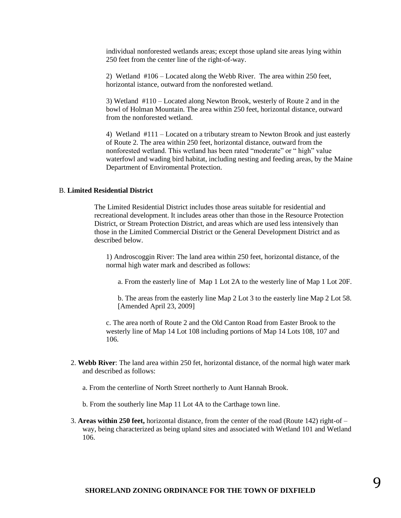individual nonforested wetlands areas; except those upland site areas lying within 250 feet from the center line of the right-of-way.

2) Wetland #106 – Located along the Webb River. The area within 250 feet, horizontal istance, outward from the nonforested wetland.

3) Wetland #110 – Located along Newton Brook, westerly of Route 2 and in the bowl of Holman Mountain. The area within 250 feet, horizontal distance, outward from the nonforested wetland.

4) Wetland #111 – Located on a tributary stream to Newton Brook and just easterly of Route 2. The area within 250 feet, horizontal distance, outward from the nonforested wetland. This wetland has been rated "moderate" or " high" value waterfowl and wading bird habitat, including nesting and feeding areas, by the Maine Department of Enviromental Protection.

#### B. **Limited Residential District**

The Limited Residential District includes those areas suitable for residential and recreational development. It includes areas other than those in the Resource Protection District, or Stream Protection District, and areas which are used less intensively than those in the Limited Commercial District or the General Development District and as described below.

1) Androscoggin River: The land area within 250 feet, horizontal distance, of the normal high water mark and described as follows:

a. From the easterly line of Map 1 Lot 2A to the westerly line of Map 1 Lot 20F.

b. The areas from the easterly line Map 2 Lot 3 to the easterly line Map 2 Lot 58. [Amended April 23, 2009]

c. The area north of Route 2 and the Old Canton Road from Easter Brook to the westerly line of Map 14 Lot 108 including portions of Map 14 Lots 108, 107 and 106.

- 2. **Webb River**: The land area within 250 fet, horizontal distance, of the normal high water mark and described as follows:
	- a. From the centerline of North Street northerly to Aunt Hannah Brook.
	- b. From the southerly line Map 11 Lot 4A to the Carthage town line.
- 3. **Areas within 250 feet,** horizontal distance, from the center of the road (Route 142) right-of way, being characterized as being upland sites and associated with Wetland 101 and Wetland 106.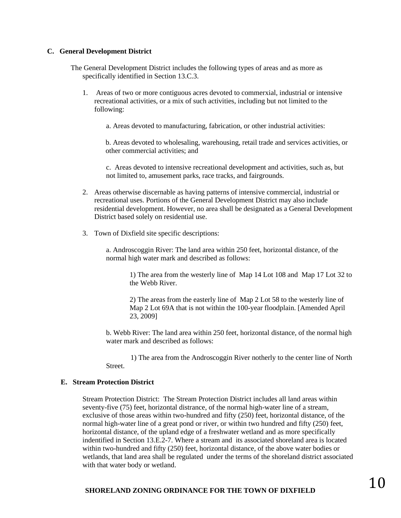#### **C. General Development District**

- The General Development District includes the following types of areas and as more as specifically identified in Section 13.C.3.
	- 1. Areas of two or more contiguous acres devoted to commerxial, industrial or intensive recreational activities, or a mix of such activities, including but not limited to the following:
		- a. Areas devoted to manufacturing, fabrication, or other industrial activities:

b. Areas devoted to wholesaling, warehousing, retail trade and services activities, or other commercial activities; and

c. Areas devoted to intensive recreational development and activities, such as, but not limited to, amusement parks, race tracks, and fairgrounds.

- 2. Areas otherwise discernable as having patterns of intensive commercial, industrial or recreational uses. Portions of the General Development District may also include residential development. However, no area shall be designated as a General Development District based solely on residential use.
- 3. Town of Dixfield site specific descriptions:

a. Androscoggin River: The land area within 250 feet, horizontal distance, of the normal high water mark and described as follows:

> 1) The area from the westerly line of Map 14 Lot 108 and Map 17 Lot 32 to the Webb River.

2) The areas from the easterly line of Map 2 Lot 58 to the westerly line of Map 2 Lot 69A that is not within the 100-year floodplain. [Amended April 23, 2009]

b. Webb River: The land area within 250 feet, horizontal distance, of the normal high water mark and described as follows:

 1) The area from the Androscoggin River notherly to the center line of North Street.

#### **E. Stream Protection District**

Stream Protection District: The Stream Protection District includes all land areas within seventy-five (75) feet, horizontal distrance, of the normal high-water line of a stream, exclusive of those areas within two-hundred and fifty (250) feet, horizontal distance, of the normal high-water line of a great pond or river, or within two hundred and fifty (250) feet, horizontal distance, of the upland edge of a freshwater wetland and as more specifically indentified in Section 13.E.2-7. Where a stream and its associated shoreland area is located within two-hundred and fifty (250) feet, horizontal distance, of the above water bodies or wetlands, that land area shall be regulated under the terms of the shoreland district associated with that water body or wetland.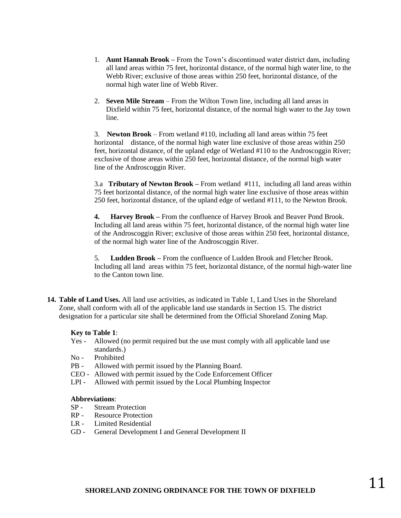- 1. **Aunt Hannah Brook –** From the Town's discontinued water district dam, including all land areas within 75 feet, horizontal distance, of the normal high water line, to the Webb River; exclusive of those areas within 250 feet, horizontal distance, of the normal high water line of Webb River.
- 2. **Seven Mile Stream**  From the Wilton Town line, including all land areas in Dixfield within 75 feet, horizontal distance, of the normal high water to the Jay town line.

3. **Newton Brook** – From wetland #110, including all land areas within 75 feet horizontal distance, of the normal high water line exclusive of those areas within 250 feet, horizontal distance, of the upland edge of Wetland #110 to the Androscoggin River; exclusive of those areas within 250 feet, horizontal distance, of the normal high water line of the Androscoggin River.

3.a **Tributary of Newton Brook –** From wetland #111, including all land areas within 75 feet horizontal distance, of the normal high water line exclusive of those areas within 250 feet, horizontal distance, of the upland edge of wetland #111, to the Newton Brook.

**4. Harvey Brook –** From the confluence of Harvey Brook and Beaver Pond Brook. Including all land areas within 75 feet, horizontal distance, of the normal high water line of the Androscoggin River; exclusive of those areas within 250 feet, horizontal distance, of the normal high water line of the Androscoggin River.

5. **Ludden Brook –** From the confluence of Ludden Brook and Fletcher Brook. Including all land areas within 75 feet, horizontal distance, of the normal high-water line to the Canton town line.

**14. Table of Land Uses.** All land use activities, as indicated in Table 1, Land Uses in the Shoreland Zone, shall conform with all of the applicable land use standards in Section 15. The district designation for a particular site shall be determined from the Official Shoreland Zoning Map.

#### **Key to Table 1**:

- Yes Allowed (no permit required but the use must comply with all applicable land use standards.)
- No Prohibited
- PB Allowed with permit issued by the Planning Board.
- CEO Allowed with permit issued by the Code Enforcement Officer
- LPI Allowed with permit issued by the Local Plumbing Inspector

#### **Abbreviations**:

- SP Stream Protection
- RP Resource Protection
- LR Limited Residential
- GD General Development I and General Development II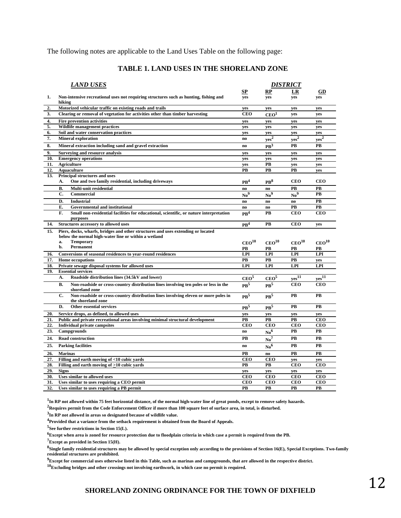The following notes are applicable to the Land Uses Table on the following page:

#### **TABLE 1. LAND USES IN THE SHORELAND ZONE**

| <b>LAND USES</b> |                                                                                                                                          |                        | DISTRICT                  |                   |                   |  |
|------------------|------------------------------------------------------------------------------------------------------------------------------------------|------------------------|---------------------------|-------------------|-------------------|--|
|                  |                                                                                                                                          | SP                     | RP                        | LR                | GD                |  |
| 1.               | Non-intensive recreational uses not requiring structures such as hunting, fishing and<br>hiking                                          | yes                    | yes                       | yes               | yes               |  |
| 2.               | Motorized vehicular traffic on existing roads and trails                                                                                 | ves                    | ves                       | yes               | yes               |  |
| 3.               | Clearing or removal of vegetation for activities other than timber harvesting                                                            | <b>CEO</b>             | CEO <sup>1</sup>          | yes               | yes               |  |
| 4.               | <b>Fire prevention activities</b>                                                                                                        | yes                    | yes                       | yes               | yes               |  |
| 5.               | <b>Wildlife management practices</b>                                                                                                     | yes                    | ves                       | yes               | yes               |  |
| 6.               | Soil and water conservation practices                                                                                                    | ves                    | ves                       | yes               | yes               |  |
| 7.               | <b>Mineral exploration</b>                                                                                                               | no                     | yes <sup>2</sup>          | yes <sup>2</sup>  | $yes^2$           |  |
| 8.               | Mineral extraction including sand and gravel extraction                                                                                  | $\mathbf{n}\mathbf{o}$ | PR <sup>3</sup>           | PB                | <b>PB</b>         |  |
| 9.               | Surveying and resource analysis                                                                                                          | yes                    | yes                       | yes               | yes               |  |
| 10.              | <b>Emergency operations</b>                                                                                                              | yes                    | yes                       | yes               | yes               |  |
| 11.              | <b>Agriculture</b>                                                                                                                       | ves                    | PB                        | ves               | yes               |  |
| 12.              | Aquaculture                                                                                                                              | <b>PB</b>              | PB                        | PB                | ves               |  |
| 13.              | Principal structures and uses<br>One and two family residential, including driveways<br>A.                                               | PR <sup>4</sup>        | PR <sup>8</sup>           | <b>CEO</b>        | <b>CEO</b>        |  |
|                  | В.<br>Multi-unit residential                                                                                                             | no.                    | no.                       | PB                | PB                |  |
|                  | C.<br>Commercial                                                                                                                         | $\mathrm{No}^9$        | $N_0^9$                   | No <sup>9</sup>   | <b>PB</b>         |  |
|                  | D.<br><b>Industrial</b>                                                                                                                  | no                     | no                        | no                | <b>PB</b>         |  |
|                  | Е.<br><b>Governmental and institutional</b>                                                                                              | no                     | no.                       | PB                | PB                |  |
|                  | Small non-residential facilities for educational, scientific, or nature interpretation<br>F.<br>purposes                                 | PR <sup>4</sup>        | PB                        | <b>CEO</b>        | <b>CEO</b>        |  |
| 14.              | Structures accessory to allowed uses                                                                                                     | PR <sup>4</sup>        | PB                        | <b>CEO</b>        | yes               |  |
| 15.              | Piers, docks, wharfs, bridges and other structures and uses extending or located<br>below the normal high-water line or within a wetland |                        |                           |                   |                   |  |
|                  | <b>Temporary</b><br>a.                                                                                                                   | CEO <sup>10</sup>      | $\rm CEO^{10}$            | CEO <sup>10</sup> | CEO <sup>10</sup> |  |
|                  | b.<br>Permanent                                                                                                                          | PВ                     | PВ                        | PВ                | PВ                |  |
| 16.              | Conversions of seasonal residences to year-round residences                                                                              | <b>LPI</b>             | <b>LPI</b>                | <b>LPI</b>        | <b>LPI</b>        |  |
| 17.              | <b>Home occupations</b>                                                                                                                  | <b>PB</b>              | PB                        | PB                | yes               |  |
| 18.              | Private sewage disposal systems for allowed uses                                                                                         | LPI                    | LPI                       | <b>LPI</b>        | <b>LPI</b>        |  |
| 19.              | <b>Essential services</b>                                                                                                                |                        |                           |                   |                   |  |
|                  | A.<br>Roadside distribution lines (34.5kV and lower)                                                                                     | CEO <sup>5</sup>       | CEO <sup>5</sup>          | $yes^{11}$        | yes <sup>11</sup> |  |
|                  | <b>B.</b><br>Non-roadside or cross-country distribution lines involving ten poles or less in the<br>shoreland zone                       | PB <sup>5</sup>        | PR <sup>5</sup>           | <b>CEO</b>        | <b>CEO</b>        |  |
|                  | C.<br>Non-roadside or cross-country distribution lines involving eleven or more poles in<br>the shoreland zone                           | PR <sup>5</sup>        | PB <sup>5</sup>           | PB                | <b>PB</b>         |  |
|                  | D.<br><b>Other essential services</b>                                                                                                    | $\mathbf{PB}^5$        | PB <sup>5</sup>           | PB                | PB                |  |
| 20.              | Service drops, as defined, to allowed uses                                                                                               | ves                    | ves                       | ves               | yes               |  |
| 21.              | Public and private recreational areas involving minimal structural development                                                           | <b>PB</b>              | PB                        | PB                | <b>CEO</b>        |  |
| 22.              | <b>Individual private campsites</b>                                                                                                      | <b>CEO</b>             | <b>CEO</b>                | <b>CEO</b>        | <b>CEO</b>        |  |
| 23.              | Campgrounds                                                                                                                              | no                     | No <sup>6</sup>           | PB                | PB                |  |
| 24.              | <b>Road construction</b>                                                                                                                 | PB                     | $\mathbf{N} \mathbf{o}^7$ | PB                | PB                |  |
| 25.              | <b>Parking facilities</b>                                                                                                                | no                     | No <sup>6</sup>           | <b>PB</b>         | PB                |  |
| 26.              | <b>Marinas</b>                                                                                                                           | <b>PB</b>              | no                        | PB                | PB                |  |
| 27.              | Filling and earth moving of <10 cubic vards                                                                                              | <b>CEO</b>             | <b>CEO</b>                | ves               | yes               |  |
| 28.              | Filling and earth moving of >10 cubic vards                                                                                              | PB                     | PB                        | <b>CEO</b>        | <b>CEO</b>        |  |
| 29.              | <b>Signs</b>                                                                                                                             | yes                    | yes                       | yes               | yes               |  |
| 30.              | Uses similar to allowed uses                                                                                                             | <b>CEO</b>             | <b>CEO</b>                | <b>CEO</b>        | <b>CEO</b>        |  |
| 31.              | Uses similar to uses requiring a CEO permit                                                                                              | <b>CEO</b>             | <b>CEO</b>                | <b>CEO</b>        | <b>CEO</b>        |  |
| 32.              | Uses similar to uses requiring a PB permit                                                                                               | PB                     | PB                        | PB                | PB                |  |

**1 In RP not allowed within 75 feet horizontal distance, of the normal high-water line of great ponds, except to remove safety hazards.**

**<sup>2</sup>Requires permit from the Code Enforcement Officer if more than 100 square feet of surface area, in total, is disturbed.**

**3 In RP not allowed in areas so designated because of wildlife value.**

**<sup>4</sup>Provided that a variance from the setback requirement is obtained from the Board of Appeals.**

**5 See further restrictions in Section 15(L).**

**<sup>6</sup>Except when area is zoned for resource protection due to floodplain criteria in which case a permit is required from the PB.**

**<sup>7</sup>Except as provided in Section 15(H).**

**8 Single family residential structures may be allowed by special exception only according to the provisions of Section 16(E), Special Exceptions. Two-family residential structures are prohibited.**

**<sup>9</sup>Except for commercial uses otherwise listed in this Table, such as marinas and campgrounds, that are allowed in the respective district.**

**<sup>10</sup>Excluding bridges and other crossings not involving earthwork, in which case no permit is required.**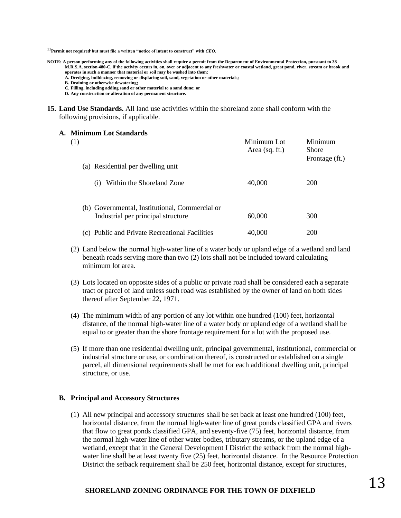**<sup>11</sup>Permit not required, but must file a written "notice of intent to construct" with** *CEO.*

- **NOTE: A person performing any of the following activities shall require a permit from the Department of Environmental Protection, pursuant to 38 M.R.S.A. section 480-C, if the activity occurs in, on, over or adjacent to any freshwater or coastal wetland, great pond, river, stream or brook and operates in such a manner that material or soil may be washed into them:**
	- **A. Dredging, bulldozing, removing or displacing soil, sand, vegetation or other materials;**
	- **B. Draining or otherwise dewatering;**
	- **C. Filling, including adding sand or other material to a sand dune; or**
	- **D. Any construction or alteration of any permanent structure.**
- **15. Land Use Standards.** All land use activities within the shoreland zone shall conform with the following provisions, if applicable.

#### **A. Minimum Lot Standards**

| (1) |                                                                                      | Minimum Lot<br>Area $(sq. ft.)$ | Minimum<br>Shore<br>Frontage (ft.) |  |
|-----|--------------------------------------------------------------------------------------|---------------------------------|------------------------------------|--|
|     | (a) Residential per dwelling unit                                                    |                                 |                                    |  |
|     | Within the Shoreland Zone<br>(1)                                                     | 40,000                          | <b>200</b>                         |  |
|     | (b) Governmental, Institutional, Commercial or<br>Industrial per principal structure | 60,000                          | 300                                |  |
|     | (c) Public and Private Recreational Facilities                                       | 40,000                          | 200                                |  |

- (2) Land below the normal high-water line of a water body or upland edge of a wetland and land beneath roads serving more than two (2) lots shall not be included toward calculating minimum lot area.
- (3) Lots located on opposite sides of a public or private road shall be considered each a separate tract or parcel of land unless such road was established by the owner of land on both sides thereof after September 22, 1971.
- (4) The minimum width of any portion of any lot within one hundred (100) feet, horizontal distance, of the normal high-water line of a water body or upland edge of a wetland shall be equal to or greater than the shore frontage requirement for a lot with the proposed use.
- (5) If more than one residential dwelling unit, principal governmental, institutional, commercial or industrial structure or use, or combination thereof, is constructed or established on a single parcel, all dimensional requirements shall be met for each additional dwelling unit, principal structure, or use.

#### **B. Principal and Accessory Structures**

(1) All new principal and accessory structures shall be set back at least one hundred (100) feet, horizontal distance, from the normal high-water line of great ponds classified GPA and rivers that flow to great ponds classified GPA, and seventy-five (75) feet, horizontal distance, from the normal high-water line of other water bodies, tributary streams, or the upland edge of a wetland, except that in the General Development I District the setback from the normal highwater line shall be at least twenty five (25) feet, horizontal distance. In the Resource Protection District the setback requirement shall be 250 feet, horizontal distance, except for structures,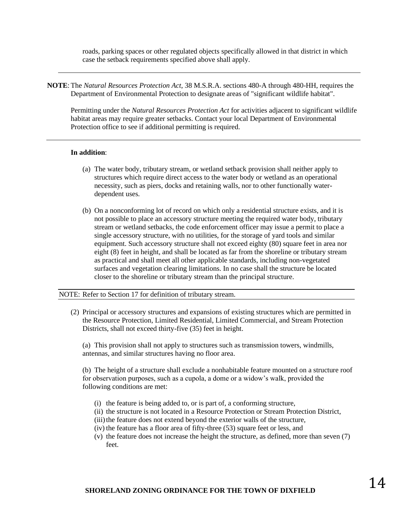roads, parking spaces or other regulated objects specifically allowed in that district in which case the setback requirements specified above shall apply.

**NOTE**: The *Natural Resources Protection Act*, 38 M.S.R.A. sections 480-A through 480-HH, requires the Department of Environmental Protection to designate areas of "significant wildlife habitat".

Permitting under the *Natural Resources Protection Act* for activities adjacent to significant wildlife habitat areas may require greater setbacks. Contact your local Department of Environmental Protection office to see if additional permitting is required.

#### **In addition**:

- (a) The water body, tributary stream, or wetland setback provision shall neither apply to structures which require direct access to the water body or wetland as an operational necessity, such as piers, docks and retaining walls, nor to other functionally waterdependent uses.
- (b) On a nonconforming lot of record on which only a residential structure exists, and it is not possible to place an accessory structure meeting the required water body, tributary stream or wetland setbacks, the code enforcement officer may issue a permit to place a single accessory structure, with no utilities, for the storage of yard tools and similar equipment. Such accessory structure shall not exceed eighty (80) square feet in area nor eight (8) feet in height, and shall be located as far from the shoreline or tributary stream as practical and shall meet all other applicable standards, including non-vegetated surfaces and vegetation clearing limitations. In no case shall the structure be located closer to the shoreline or tributary stream than the principal structure.

#### NOTE: Refer to Section 17 for definition of tributary stream.

(2) Principal or accessory structures and expansions of existing structures which are permitted in the Resource Protection, Limited Residential, Limited Commercial, and Stream Protection Districts, shall not exceed thirty-five (35) feet in height.

(a) This provision shall not apply to structures such as transmission towers, windmills, antennas, and similar structures having no floor area.

(b) The height of a structure shall exclude a nonhabitable feature mounted on a structure roof for observation purposes, such as a cupola, a dome or a widow's walk, provided the following conditions are met:

- (i) the feature is being added to, or is part of, a conforming structure,
- (ii) the structure is not located in a Resource Protection or Stream Protection District,
- (iii) the feature does not extend beyond the exterior walls of the structure,
- (iv) the feature has a floor area of fifty-three (53) square feet or less, and
- (v) the feature does not increase the height the structure, as defined, more than seven (7) feet.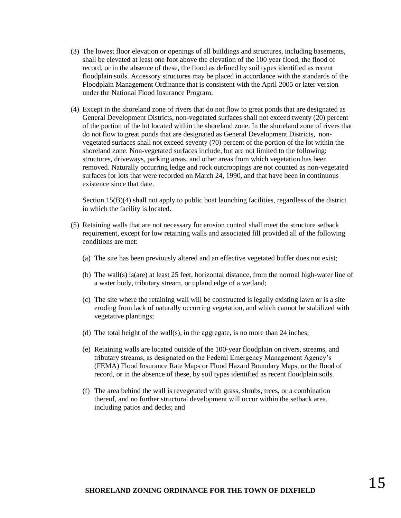- (3) The lowest floor elevation or openings of all buildings and structures, including basements, shall be elevated at least one foot above the elevation of the 100 year flood, the flood of record, or in the absence of these, the flood as defined by soil types identified as recent floodplain soils. Accessory structures may be placed in accordance with the standards of the Floodplain Management Ordinance that is consistent with the April 2005 or later version under the National Flood Insurance Program.
- (4) Except in the shoreland zone of rivers that do not flow to great ponds that are designated as General Development Districts, non-vegetated surfaces shall not exceed twenty (20) percent of the portion of the lot located within the shoreland zone. In the shoreland zone of rivers that do not flow to great ponds that are designated as General Development Districts, nonvegetated surfaces shall not exceed seventy (70) percent of the portion of the lot within the shoreland zone. Non-vegetated surfaces include, but are not limited to the following: structures, driveways, parking areas, and other areas from which vegetation has been removed. Naturally occurring ledge and rock outcroppings are not counted as non-vegetated surfaces for lots that were recorded on March 24, 1990, and that have been in continuous existence since that date.

Section 15(B)(4) shall not apply to public boat launching facilities, regardless of the district in which the facility is located.

- (5) Retaining walls that are not necessary for erosion control shall meet the structure setback requirement, except for low retaining walls and associated fill provided all of the following conditions are met:
	- (a) The site has been previously altered and an effective vegetated buffer does not exist;
	- (b) The wall(s) is(are) at least 25 feet, horizontal distance, from the normal high-water line of a water body, tributary stream, or upland edge of a wetland;
	- (c) The site where the retaining wall will be constructed is legally existing lawn or is a site eroding from lack of naturally occurring vegetation, and which cannot be stabilized with vegetative plantings;
	- (d) The total height of the wall(s), in the aggregate, is no more than 24 inches;
	- (e) Retaining walls are located outside of the 100-year floodplain on rivers, streams, and tributary streams, as designated on the Federal Emergency Management Agency's (FEMA) Flood Insurance Rate Maps or Flood Hazard Boundary Maps, or the flood of record, or in the absence of these, by soil types identified as recent floodplain soils.
	- (f) The area behind the wall is revegetated with grass, shrubs, trees, or a combination thereof, and no further structural development will occur within the setback area, including patios and decks; and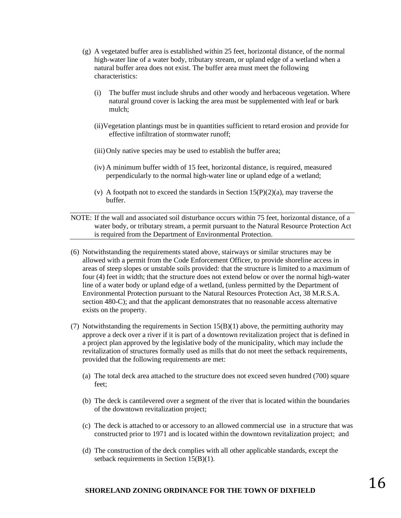- (g) A vegetated buffer area is established within 25 feet, horizontal distance, of the normal high-water line of a water body, tributary stream, or upland edge of a wetland when a natural buffer area does not exist. The buffer area must meet the following characteristics:
	- (i) The buffer must include shrubs and other woody and herbaceous vegetation. Where natural ground cover is lacking the area must be supplemented with leaf or bark mulch;
	- (ii)Vegetation plantings must be in quantities sufficient to retard erosion and provide for effective infiltration of stormwater runoff;
	- (iii)Only native species may be used to establish the buffer area;
	- (iv) A minimum buffer width of 15 feet, horizontal distance, is required, measured perpendicularly to the normal high-water line or upland edge of a wetland;
	- (v) A footpath not to exceed the standards in Section  $15(P)(2)(a)$ , may traverse the buffer.

NOTE: If the wall and associated soil disturbance occurs within 75 feet, horizontal distance, of a water body, or tributary stream, a permit pursuant to the Natural Resource Protection Act is required from the Department of Environmental Protection.

- (6) Notwithstanding the requirements stated above, stairways or similar structures may be allowed with a permit from the Code Enforcement Officer, to provide shoreline access in areas of steep slopes or unstable soils provided: that the structure is limited to a maximum of four (4) feet in width; that the structure does not extend below or over the normal high-water line of a water body or upland edge of a wetland, (unless permitted by the Department of Environmental Protection pursuant to the Natural Resources Protection Act, 38 M.R.S.A. section 480-C); and that the applicant demonstrates that no reasonable access alternative exists on the property.
- (7) Notwithstanding the requirements in Section  $15(B)(1)$  above, the permitting authority may approve a deck over a river if it is part of a downtown revitalization project that is defined in a project plan approved by the legislative body of the municipality, which may include the revitalization of structures formally used as mills that do not meet the setback requirements, provided that the following requirements are met:
	- (a) The total deck area attached to the structure does not exceed seven hundred (700) square feet;
	- (b) The deck is cantilevered over a segment of the river that is located within the boundaries of the downtown revitalization project;
	- (c) The deck is attached to or accessory to an allowed commercial use in a structure that was constructed prior to 1971 and is located within the downtown revitalization project; and
	- (d) The construction of the deck complies with all other applicable standards, except the setback requirements in Section 15(B)(1).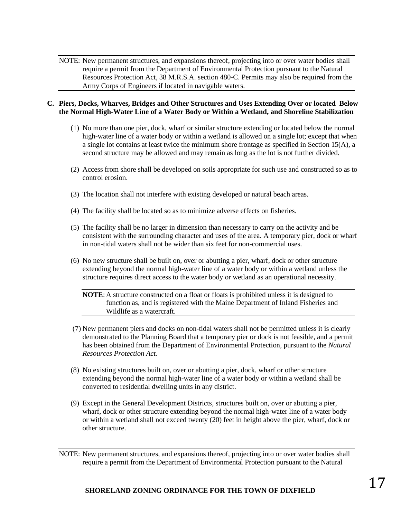NOTE: New permanent structures, and expansions thereof, projecting into or over water bodies shall require a permit from the Department of Environmental Protection pursuant to the Natural Resources Protection Act, 38 M.R.S.A. section 480-C. Permits may also be required from the Army Corps of Engineers if located in navigable waters.

#### **C. Piers, Docks, Wharves, Bridges and Other Structures and Uses Extending Over or located Below the Normal High-Water Line of a Water Body or Within a Wetland, and Shoreline Stabilization**

- (1) No more than one pier, dock, wharf or similar structure extending or located below the normal high-water line of a water body or within a wetland is allowed on a single lot; except that when a single lot contains at least twice the minimum shore frontage as specified in Section 15(A), a second structure may be allowed and may remain as long as the lot is not further divided.
- (2) Access from shore shall be developed on soils appropriate for such use and constructed so as to control erosion.
- (3) The location shall not interfere with existing developed or natural beach areas.
- (4) The facility shall be located so as to minimize adverse effects on fisheries.
- (5) The facility shall be no larger in dimension than necessary to carry on the activity and be consistent with the surrounding character and uses of the area. A temporary pier, dock or wharf in non-tidal waters shall not be wider than six feet for non-commercial uses.
- (6) No new structure shall be built on, over or abutting a pier, wharf, dock or other structure extending beyond the normal high-water line of a water body or within a wetland unless the structure requires direct access to the water body or wetland as an operational necessity.

**NOTE**: A structure constructed on a float or floats is prohibited unless it is designed to function as, and is registered with the Maine Department of Inland Fisheries and Wildlife as a watercraft.

- (7) New permanent piers and docks on non-tidal waters shall not be permitted unless it is clearly demonstrated to the Planning Board that a temporary pier or dock is not feasible, and a permit has been obtained from the Department of Environmental Protection, pursuant to the *Natural Resources Protection Act*.
- (8) No existing structures built on, over or abutting a pier, dock, wharf or other structure extending beyond the normal high-water line of a water body or within a wetland shall be converted to residential dwelling units in any district.
- (9) Except in the General Development Districts, structures built on, over or abutting a pier, wharf, dock or other structure extending beyond the normal high-water line of a water body or within a wetland shall not exceed twenty (20) feet in height above the pier, wharf, dock or other structure.

NOTE: New permanent structures, and expansions thereof, projecting into or over water bodies shall require a permit from the Department of Environmental Protection pursuant to the Natural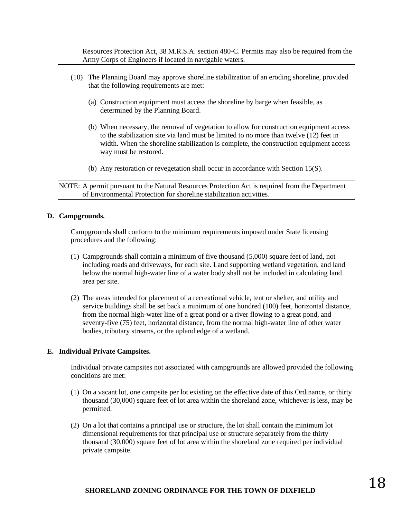Resources Protection Act, 38 M.R.S.A. section 480-C. Permits may also be required from the Army Corps of Engineers if located in navigable waters.

- (10) The Planning Board may approve shoreline stabilization of an eroding shoreline, provided that the following requirements are met:
	- (a) Construction equipment must access the shoreline by barge when feasible, as determined by the Planning Board.
	- (b) When necessary, the removal of vegetation to allow for construction equipment access to the stabilization site via land must be limited to no more than twelve (12) feet in width. When the shoreline stabilization is complete, the construction equipment access way must be restored.
	- (b) Any restoration or revegetation shall occur in accordance with Section 15(S).

NOTE: A permit pursuant to the Natural Resources Protection Act is required from the Department of Environmental Protection for shoreline stabilization activities.

#### **D. Campgrounds.**

Campgrounds shall conform to the minimum requirements imposed under State licensing procedures and the following:

- (1) Campgrounds shall contain a minimum of five thousand (5,000) square feet of land, not including roads and driveways, for each site. Land supporting wetland vegetation, and land below the normal high-water line of a water body shall not be included in calculating land area per site.
- (2) The areas intended for placement of a recreational vehicle, tent or shelter, and utility and service buildings shall be set back a minimum of one hundred (100) feet, horizontal distance, from the normal high-water line of a great pond or a river flowing to a great pond, and seventy-five (75) feet, horizontal distance, from the normal high-water line of other water bodies, tributary streams, or the upland edge of a wetland.

#### **E. Individual Private Campsites.**

Individual private campsites not associated with campgrounds are allowed provided the following conditions are met:

- (1) On a vacant lot, one campsite per lot existing on the effective date of this Ordinance, or thirty thousand (30,000) square feet of lot area within the shoreland zone, whichever is less, may be permitted.
- (2) On a lot that contains a principal use or structure, the lot shall contain the minimum lot dimensional requirements for that principal use or structure separately from the thirty thousand (30,000) square feet of lot area within the shoreland zone required per individual private campsite.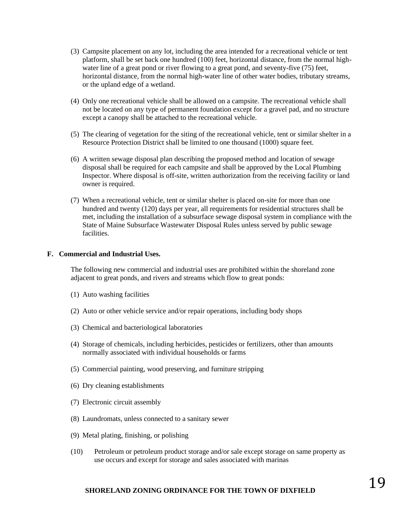- (3) Campsite placement on any lot, including the area intended for a recreational vehicle or tent platform, shall be set back one hundred (100) feet, horizontal distance, from the normal highwater line of a great pond or river flowing to a great pond, and seventy-five (75) feet, horizontal distance, from the normal high-water line of other water bodies, tributary streams, or the upland edge of a wetland.
- (4) Only one recreational vehicle shall be allowed on a campsite. The recreational vehicle shall not be located on any type of permanent foundation except for a gravel pad, and no structure except a canopy shall be attached to the recreational vehicle.
- (5) The clearing of vegetation for the siting of the recreational vehicle, tent or similar shelter in a Resource Protection District shall be limited to one thousand (1000) square feet.
- (6) A written sewage disposal plan describing the proposed method and location of sewage disposal shall be required for each campsite and shall be approved by the Local Plumbing Inspector. Where disposal is off-site, written authorization from the receiving facility or land owner is required.
- (7) When a recreational vehicle, tent or similar shelter is placed on-site for more than one hundred and twenty (120) days per year, all requirements for residential structures shall be met, including the installation of a subsurface sewage disposal system in compliance with the State of Maine Subsurface Wastewater Disposal Rules unless served by public sewage facilities.

#### **F. Commercial and Industrial Uses.**

The following new commercial and industrial uses are prohibited within the shoreland zone adjacent to great ponds, and rivers and streams which flow to great ponds:

- (1) Auto washing facilities
- (2) Auto or other vehicle service and/or repair operations, including body shops
- (3) Chemical and bacteriological laboratories
- (4) Storage of chemicals, including herbicides, pesticides or fertilizers, other than amounts normally associated with individual households or farms
- (5) Commercial painting, wood preserving, and furniture stripping
- (6) Dry cleaning establishments
- (7) Electronic circuit assembly
- (8) Laundromats, unless connected to a sanitary sewer
- (9) Metal plating, finishing, or polishing
- (10) Petroleum or petroleum product storage and/or sale except storage on same property as use occurs and except for storage and sales associated with marinas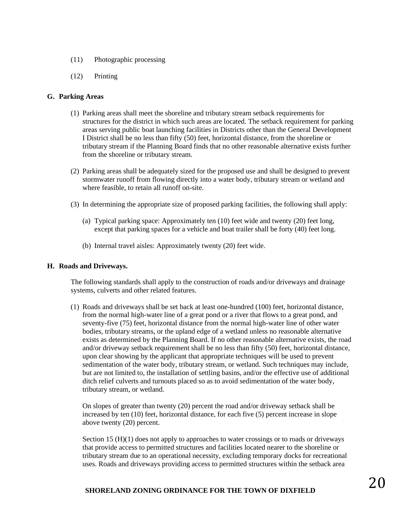- (11) Photographic processing
- (12) Printing

#### **G. Parking Areas**

- (1) Parking areas shall meet the shoreline and tributary stream setback requirements for structures for the district in which such areas are located. The setback requirement for parking areas serving public boat launching facilities in Districts other than the General Development I District shall be no less than fifty (50) feet, horizontal distance, from the shoreline or tributary stream if the Planning Board finds that no other reasonable alternative exists further from the shoreline or tributary stream.
- (2) Parking areas shall be adequately sized for the proposed use and shall be designed to prevent stormwater runoff from flowing directly into a water body, tributary stream or wetland and where feasible, to retain all runoff on-site.
- (3) In determining the appropriate size of proposed parking facilities, the following shall apply:
	- (a) Typical parking space: Approximately ten (10) feet wide and twenty (20) feet long, except that parking spaces for a vehicle and boat trailer shall be forty (40) feet long.
	- (b) Internal travel aisles: Approximately twenty (20) feet wide.

#### **H. Roads and Driveways.**

The following standards shall apply to the construction of roads and/or driveways and drainage systems, culverts and other related features.

(1) Roads and driveways shall be set back at least one-hundred (100) feet, horizontal distance, from the normal high-water line of a great pond or a river that flows to a great pond, and seventy-five (75) feet, horizontal distance from the normal high-water line of other water bodies, tributary streams, or the upland edge of a wetland unless no reasonable alternative exists as determined by the Planning Board. If no other reasonable alternative exists, the road and/or driveway setback requirement shall be no less than fifty (50) feet, horizontal distance, upon clear showing by the applicant that appropriate techniques will be used to prevent sedimentation of the water body, tributary stream, or wetland. Such techniques may include, but are not limited to, the installation of settling basins, and/or the effective use of additional ditch relief culverts and turnouts placed so as to avoid sedimentation of the water body, tributary stream, or wetland.

On slopes of greater than twenty (20) percent the road and/or driveway setback shall be increased by ten (10) feet, horizontal distance, for each five (5) percent increase in slope above twenty (20) percent.

Section 15 (H)(1) does not apply to approaches to water crossings or to roads or driveways that provide access to permitted structures and facilities located nearer to the shoreline or tributary stream due to an operational necessity, excluding temporary docks for recreational uses. Roads and driveways providing access to permitted structures within the setback area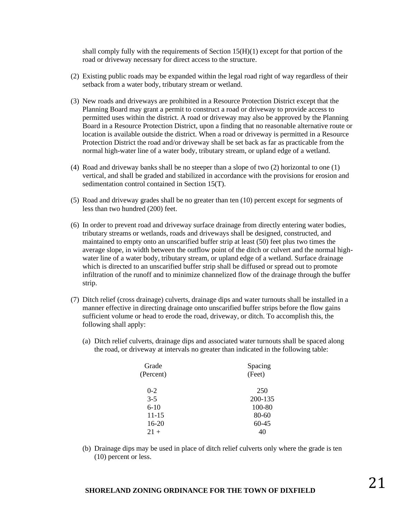shall comply fully with the requirements of Section  $15(H)(1)$  except for that portion of the road or driveway necessary for direct access to the structure.

- (2) Existing public roads may be expanded within the legal road right of way regardless of their setback from a water body, tributary stream or wetland.
- (3) New roads and driveways are prohibited in a Resource Protection District except that the Planning Board may grant a permit to construct a road or driveway to provide access to permitted uses within the district. A road or driveway may also be approved by the Planning Board in a Resource Protection District, upon a finding that no reasonable alternative route or location is available outside the district. When a road or driveway is permitted in a Resource Protection District the road and/or driveway shall be set back as far as practicable from the normal high-water line of a water body, tributary stream, or upland edge of a wetland.
- (4) Road and driveway banks shall be no steeper than a slope of two (2) horizontal to one (1) vertical, and shall be graded and stabilized in accordance with the provisions for erosion and sedimentation control contained in Section 15(T).
- (5) Road and driveway grades shall be no greater than ten (10) percent except for segments of less than two hundred (200) feet.
- (6) In order to prevent road and driveway surface drainage from directly entering water bodies, tributary streams or wetlands, roads and driveways shall be designed, constructed, and maintained to empty onto an unscarified buffer strip at least (50) feet plus two times the average slope, in width between the outflow point of the ditch or culvert and the normal highwater line of a water body, tributary stream, or upland edge of a wetland. Surface drainage which is directed to an unscarified buffer strip shall be diffused or spread out to promote infiltration of the runoff and to minimize channelized flow of the drainage through the buffer strip.
- (7) Ditch relief (cross drainage) culverts, drainage dips and water turnouts shall be installed in a manner effective in directing drainage onto unscarified buffer strips before the flow gains sufficient volume or head to erode the road, driveway, or ditch. To accomplish this, the following shall apply:
	- (a) Ditch relief culverts, drainage dips and associated water turnouts shall be spaced along the road, or driveway at intervals no greater than indicated in the following table:

| Grade     | Spacing   |
|-----------|-----------|
| (Percent) | (Feet)    |
| $0 - 2$   | 250       |
| $3 - 5$   | 200-135   |
| $6-10$    | 100-80    |
| $11 - 15$ | $80 - 60$ |
| $16-20$   | $60 - 45$ |
| $21+$     |           |

(b) Drainage dips may be used in place of ditch relief culverts only where the grade is ten (10) percent or less.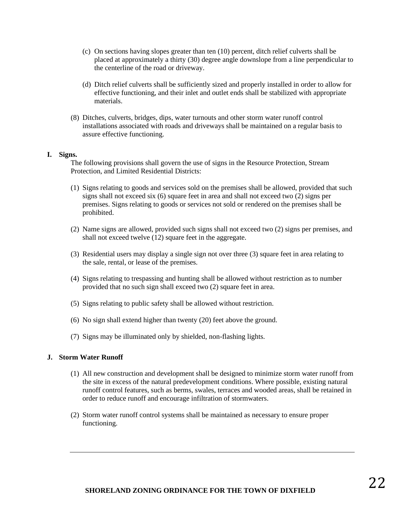- (c) On sections having slopes greater than ten (10) percent, ditch relief culverts shall be placed at approximately a thirty (30) degree angle downslope from a line perpendicular to the centerline of the road or driveway.
- (d) Ditch relief culverts shall be sufficiently sized and properly installed in order to allow for effective functioning, and their inlet and outlet ends shall be stabilized with appropriate materials.
- (8) Ditches, culverts, bridges, dips, water turnouts and other storm water runoff control installations associated with roads and driveways shall be maintained on a regular basis to assure effective functioning.

#### **I. Signs.**

The following provisions shall govern the use of signs in the Resource Protection, Stream Protection, and Limited Residential Districts:

- (1) Signs relating to goods and services sold on the premises shall be allowed, provided that such signs shall not exceed six (6) square feet in area and shall not exceed two (2) signs per premises. Signs relating to goods or services not sold or rendered on the premises shall be prohibited.
- (2) Name signs are allowed, provided such signs shall not exceed two (2) signs per premises, and shall not exceed twelve  $(12)$  square feet in the aggregate.
- (3) Residential users may display a single sign not over three (3) square feet in area relating to the sale, rental, or lease of the premises.
- (4) Signs relating to trespassing and hunting shall be allowed without restriction as to number provided that no such sign shall exceed two (2) square feet in area.
- (5) Signs relating to public safety shall be allowed without restriction.
- (6) No sign shall extend higher than twenty (20) feet above the ground.
- (7) Signs may be illuminated only by shielded, non-flashing lights.

#### **J. Storm Water Runoff**

- (1) All new construction and development shall be designed to minimize storm water runoff from the site in excess of the natural predevelopment conditions. Where possible, existing natural runoff control features, such as berms, swales, terraces and wooded areas, shall be retained in order to reduce runoff and encourage infiltration of stormwaters.
- (2) Storm water runoff control systems shall be maintained as necessary to ensure proper functioning.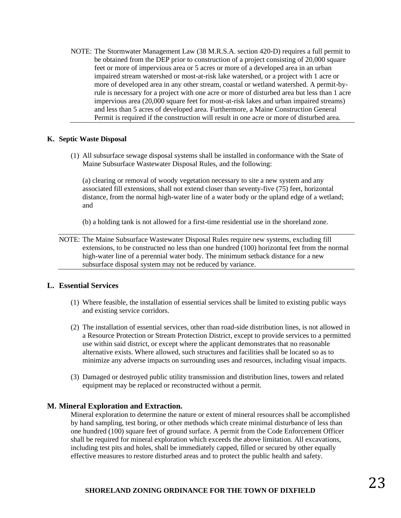NOTE: The Stormwater Management Law (38 M.R.S.A. section 420-D) requires a full permit to be obtained from the DEP prior to construction of a project consisting of 20,000 square feet or more of impervious area or 5 acres or more of a developed area in an urban impaired stream watershed or most-at-risk lake watershed, or a project with 1 acre or more of developed area in any other stream, coastal or wetland watershed. A permit-byrule is necessary for a project with one acre or more of disturbed area but less than 1 acre impervious area (20,000 square feet for most-at-risk lakes and urban impaired streams) and less than 5 acres of developed area. Furthermore, a Maine Construction General Permit is required if the construction will result in one acre or more of disturbed area.

#### **K. Septic Waste Disposal**

(1) All subsurface sewage disposal systems shall be installed in conformance with the State of Maine Subsurface Wastewater Disposal Rules, and the following:

(a) clearing or removal of woody vegetation necessary to site a new system and any associated fill extensions, shall not extend closer than seventy-five (75) feet, horizontal distance, from the normal high-water line of a water body or the upland edge of a wetland; and

(b) a holding tank is not allowed for a first-time residential use in the shoreland zone.

NOTE: The Maine Subsurface Wastewater Disposal Rules require new systems, excluding fill extensions, to be constructed no less than one hundred (100) horizontal feet from the normal high-water line of a perennial water body. The minimum setback distance for a new subsurface disposal system may not be reduced by variance.

#### **L. Essential Services**

- (1) Where feasible, the installation of essential services shall be limited to existing public ways and existing service corridors.
- (2) The installation of essential services, other than road-side distribution lines, is not allowed in a Resource Protection or Stream Protection District, except to provide services to a permitted use within said district, or except where the applicant demonstrates that no reasonable alternative exists. Where allowed, such structures and facilities shall be located so as to minimize any adverse impacts on surrounding uses and resources, including visual impacts.
- (3) Damaged or destroyed public utility transmission and distribution lines, towers and related equipment may be replaced or reconstructed without a permit.

#### **M. Mineral Exploration and Extraction.**

Mineral exploration to determine the nature or extent of mineral resources shall be accomplished by hand sampling, test boring, or other methods which create minimal disturbance of less than one hundred (100) square feet of ground surface. A permit from the Code Enforcement Officer shall be required for mineral exploration which exceeds the above limitation. All excavations, including test pits and holes, shall be immediately capped, filled or secured by other equally effective measures to restore disturbed areas and to protect the public health and safety.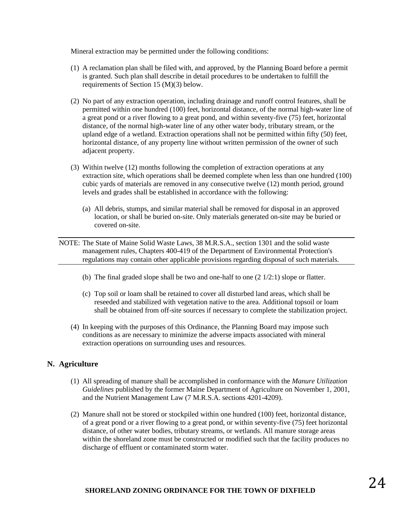Mineral extraction may be permitted under the following conditions:

- (1) A reclamation plan shall be filed with, and approved, by the Planning Board before a permit is granted. Such plan shall describe in detail procedures to be undertaken to fulfill the requirements of Section 15 (M)(3) below.
- (2) No part of any extraction operation, including drainage and runoff control features, shall be permitted within one hundred (100) feet, horizontal distance, of the normal high-water line of a great pond or a river flowing to a great pond, and within seventy-five (75) feet, horizontal distance, of the normal high-water line of any other water body, tributary stream, or the upland edge of a wetland. Extraction operations shall not be permitted within fifty (50) feet, horizontal distance, of any property line without written permission of the owner of such adjacent property.
- (3) Within twelve (12) months following the completion of extraction operations at any extraction site, which operations shall be deemed complete when less than one hundred (100) cubic yards of materials are removed in any consecutive twelve (12) month period, ground levels and grades shall be established in accordance with the following:
	- (a) All debris, stumps, and similar material shall be removed for disposal in an approved location, or shall be buried on-site. Only materials generated on-site may be buried or covered on-site.
- NOTE: The State of Maine Solid Waste Laws, 38 M.R.S.A., section 1301 and the solid waste management rules, Chapters 400-419 of the Department of Environmental Protection's regulations may contain other applicable provisions regarding disposal of such materials.
	- (b) The final graded slope shall be two and one-half to one (2 1/2:1) slope or flatter.
	- (c) Top soil or loam shall be retained to cover all disturbed land areas, which shall be reseeded and stabilized with vegetation native to the area. Additional topsoil or loam shall be obtained from off-site sources if necessary to complete the stabilization project.
	- (4) In keeping with the purposes of this Ordinance, the Planning Board may impose such conditions as are necessary to minimize the adverse impacts associated with mineral extraction operations on surrounding uses and resources.

#### **N. Agriculture**

- (1) All spreading of manure shall be accomplished in conformance with the *Manure Utilization Guidelines* published by the former Maine Department of Agriculture on November 1, 2001, and the Nutrient Management Law (7 M.R.S.A. sections 4201-4209).
- (2) Manure shall not be stored or stockpiled within one hundred (100) feet, horizontal distance, of a great pond or a river flowing to a great pond, or within seventy-five (75) feet horizontal distance, of other water bodies, tributary streams, or wetlands. All manure storage areas within the shoreland zone must be constructed or modified such that the facility produces no discharge of effluent or contaminated storm water.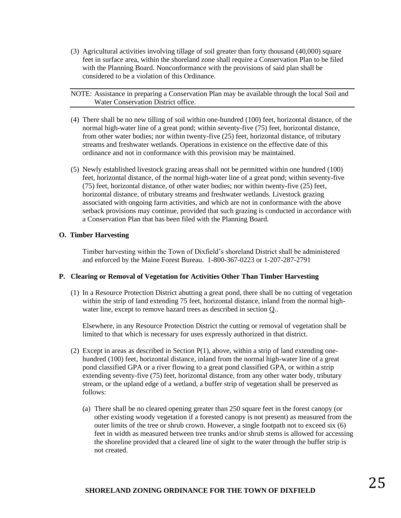(3) Agricultural activities involving tillage of soil greater than forty thousand (40,000) square feet in surface area, within the shoreland zone shall require a Conservation Plan to be filed with the Planning Board. Nonconformance with the provisions of said plan shall be considered to be a violation of this Ordinance.

NOTE: Assistance in preparing a Conservation Plan may be available through the local Soil and Water Conservation District office.

- (4) There shall be no new tilling of soil within one-hundred (100) feet, horizontal distance, of the normal high-water line of a great pond; within seventy-five (75) feet, horizontal distance, from other water bodies; nor within twenty-five (25) feet, horizontal distance, of tributary streams and freshwater wetlands. Operations in existence on the effective date of this ordinance and not in conformance with this provision may be maintained.
- (5) Newly established livestock grazing areas shall not be permitted within one hundred (100) feet, horizontal distance, of the normal high-water line of a great pond; within seventy-five (75) feet, horizontal distance, of other water bodies; nor within twenty-five (25) feet, horizontal distance, of tributary streams and freshwater wetlands. Livestock grazing associated with ongoing farm activities, and which are not in conformance with the above setback provisions may continue, provided that such grazing is conducted in accordance with a Conservation Plan that has been filed with the Planning Board.

#### **O. Timber Harvesting**

Timber harvesting within the Town of Dixfield's shoreland District shall be administered and enforced by the Maine Forest Bureau. 1-800-367-0223 or 1-207-287-2791

#### **P. Clearing or Removal of Vegetation for Activities Other Than Timber Harvesting**

(1) In a Resource Protection District abutting a great pond, there shall be no cutting of vegetation within the strip of land extending 75 feet, horizontal distance, inland from the normal highwater line, except to remove hazard trees as described in section  $Q$ .

Elsewhere, in any Resource Protection District the cutting or removal of vegetation shall be limited to that which is necessary for uses expressly authorized in that district.

- (2) Except in areas as described in Section  $P(1)$ , above, within a strip of land extending onehundred (100) feet, horizontal distance, inland from the normal high-water line of a great pond classified GPA or a river flowing to a great pond classified GPA, or within a strip extending seventy-five (75) feet, horizontal distance, from any other water body, tributary stream, or the upland edge of a wetland, a buffer strip of vegetation shall be preserved as follows:
	- (a) There shall be no cleared opening greater than 250 square feet in the forest canopy (or other existing woody vegetation if a forested canopy is not present) as measured from the outer limits of the tree or shrub crown. However, a single footpath not to exceed six (6) feet in width as measured between tree trunks and/or shrub stems is allowed for accessing the shoreline provided that a cleared line of sight to the water through the buffer strip is not created.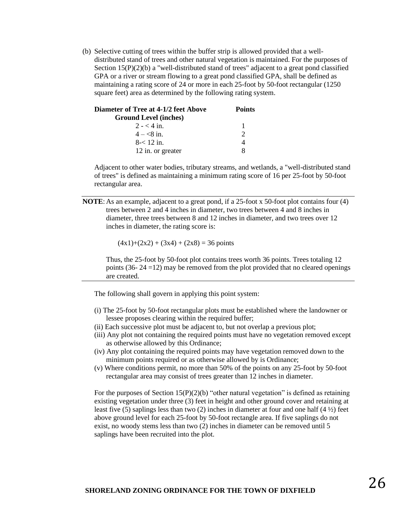(b) Selective cutting of trees within the buffer strip is allowed provided that a welldistributed stand of trees and other natural vegetation is maintained. For the purposes of Section 15(P)(2)(b) a "well-distributed stand of trees" adjacent to a great pond classified GPA or a river or stream flowing to a great pond classified GPA, shall be defined as maintaining a rating score of 24 or more in each 25-foot by 50-foot rectangular (1250 square feet) area as determined by the following rating system.

| Diameter of Tree at 4-1/2 feet Above | <b>Points</b> |  |
|--------------------------------------|---------------|--|
| <b>Ground Level (inches)</b>         |               |  |
| $2 - 4$ in.                          |               |  |
| $4 - 8i$ in.                         | $\mathcal{D}$ |  |
| $8 - 12$ in.                         |               |  |
| 12 in. or greater                    | x             |  |

Adjacent to other water bodies, tributary streams, and wetlands, a "well-distributed stand of trees" is defined as maintaining a minimum rating score of 16 per 25-foot by 50-foot rectangular area.

**NOTE**: As an example, adjacent to a great pond, if a 25-foot x 50-foot plot contains four (4) trees between 2 and 4 inches in diameter, two trees between 4 and 8 inches in diameter, three trees between 8 and 12 inches in diameter, and two trees over 12 inches in diameter, the rating score is:

 $(4x1)+(2x2) + (3x4) + (2x8) = 36$  points

Thus, the 25-foot by 50-foot plot contains trees worth 36 points. Trees totaling 12 points (36- 24 =12) may be removed from the plot provided that no cleared openings are created.

The following shall govern in applying this point system:

- (i) The 25-foot by 50-foot rectangular plots must be established where the landowner or lessee proposes clearing within the required buffer;
- (ii) Each successive plot must be adjacent to, but not overlap a previous plot;
- (iii) Any plot not containing the required points must have no vegetation removed except as otherwise allowed by this Ordinance;
- (iv) Any plot containing the required points may have vegetation removed down to the minimum points required or as otherwise allowed by is Ordinance;
- (v) Where conditions permit, no more than 50% of the points on any 25-foot by 50-foot rectangular area may consist of trees greater than 12 inches in diameter.

For the purposes of Section  $15(P)(2)(b)$  "other natural vegetation" is defined as retaining existing vegetation under three (3) feet in height and other ground cover and retaining at least five (5) saplings less than two (2) inches in diameter at four and one half  $(4\frac{1}{2})$  feet above ground level for each 25-foot by 50-foot rectangle area. If five saplings do not exist, no woody stems less than two (2) inches in diameter can be removed until 5 saplings have been recruited into the plot.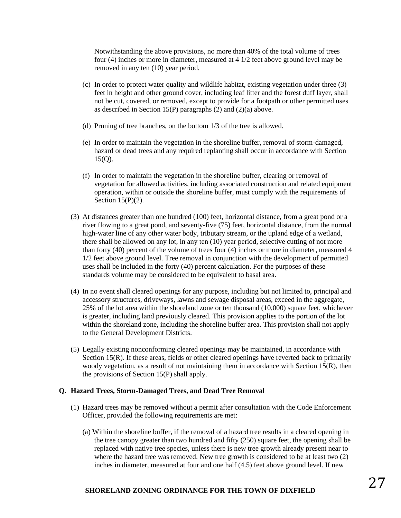Notwithstanding the above provisions, no more than 40% of the total volume of trees four (4) inches or more in diameter, measured at 4 1/2 feet above ground level may be removed in any ten (10) year period.

- (c) In order to protect water quality and wildlife habitat, existing vegetation under three (3) feet in height and other ground cover, including leaf litter and the forest duff layer, shall not be cut, covered, or removed, except to provide for a footpath or other permitted uses as described in Section 15(P) paragraphs (2) and (2)(a) above.
- (d) Pruning of tree branches, on the bottom 1/3 of the tree is allowed.
- (e) In order to maintain the vegetation in the shoreline buffer, removal of storm-damaged, hazard or dead trees and any required replanting shall occur in accordance with Section 15(Q).
- (f) In order to maintain the vegetation in the shoreline buffer, clearing or removal of vegetation for allowed activities, including associated construction and related equipment operation, within or outside the shoreline buffer, must comply with the requirements of Section 15(P)(2).
- (3) At distances greater than one hundred (100) feet, horizontal distance, from a great pond or a river flowing to a great pond, and seventy-five (75) feet, horizontal distance, from the normal high-water line of any other water body, tributary stream, or the upland edge of a wetland, there shall be allowed on any lot, in any ten (10) year period, selective cutting of not more than forty (40) percent of the volume of trees four (4) inches or more in diameter, measured 4 1/2 feet above ground level. Tree removal in conjunction with the development of permitted uses shall be included in the forty (40) percent calculation. For the purposes of these standards volume may be considered to be equivalent to basal area.
- (4) In no event shall cleared openings for any purpose, including but not limited to, principal and accessory structures, driveways, lawns and sewage disposal areas, exceed in the aggregate, 25% of the lot area within the shoreland zone or ten thousand (10,000) square feet, whichever is greater, including land previously cleared. This provision applies to the portion of the lot within the shoreland zone, including the shoreline buffer area. This provision shall not apply to the General Development Districts.
- (5) Legally existing nonconforming cleared openings may be maintained, in accordance with Section 15(R). If these areas, fields or other cleared openings have reverted back to primarily woody vegetation, as a result of not maintaining them in accordance with Section 15(R), then the provisions of Section 15(P) shall apply.

#### **Q. Hazard Trees, Storm-Damaged Trees, and Dead Tree Removal**

- (1) Hazard trees may be removed without a permit after consultation with the Code Enforcement Officer, provided the following requirements are met:
	- (a) Within the shoreline buffer, if the removal of a hazard tree results in a cleared opening in the tree canopy greater than two hundred and fifty (250) square feet, the opening shall be replaced with native tree species, unless there is new tree growth already present near to where the hazard tree was removed. New tree growth is considered to be at least two (2) inches in diameter, measured at four and one half (4.5) feet above ground level. If new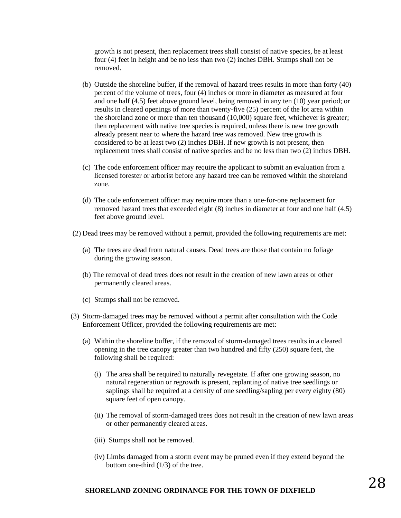growth is not present, then replacement trees shall consist of native species, be at least four (4) feet in height and be no less than two (2) inches DBH. Stumps shall not be removed.

- (b) Outside the shoreline buffer, if the removal of hazard trees results in more than forty (40) percent of the volume of trees, four (4) inches or more in diameter as measured at four and one half (4.5) feet above ground level, being removed in any ten (10) year period; or results in cleared openings of more than twenty-five (25) percent of the lot area within the shoreland zone or more than ten thousand (10,000) square feet, whichever is greater; then replacement with native tree species is required, unless there is new tree growth already present near to where the hazard tree was removed. New tree growth is considered to be at least two (2) inches DBH. If new growth is not present, then replacement trees shall consist of native species and be no less than two (2) inches DBH.
- (c) The code enforcement officer may require the applicant to submit an evaluation from a licensed forester or arborist before any hazard tree can be removed within the shoreland zone.
- (d) The code enforcement officer may require more than a one-for-one replacement for removed hazard trees that exceeded eight (8) inches in diameter at four and one half (4.5) feet above ground level.
- (2) Dead trees may be removed without a permit, provided the following requirements are met:
	- (a) The trees are dead from natural causes. Dead trees are those that contain no foliage during the growing season.
	- (b) The removal of dead trees does not result in the creation of new lawn areas or other permanently cleared areas.
	- (c) Stumps shall not be removed.
- (3) Storm-damaged trees may be removed without a permit after consultation with the Code Enforcement Officer, provided the following requirements are met:
	- (a) Within the shoreline buffer, if the removal of storm-damaged trees results in a cleared opening in the tree canopy greater than two hundred and fifty (250) square feet, the following shall be required:
		- (i) The area shall be required to naturally revegetate. If after one growing season, no natural regeneration or regrowth is present, replanting of native tree seedlings or saplings shall be required at a density of one seedling/sapling per every eighty (80) square feet of open canopy.
		- (ii) The removal of storm-damaged trees does not result in the creation of new lawn areas or other permanently cleared areas.
		- (iii) Stumps shall not be removed.
		- (iv) Limbs damaged from a storm event may be pruned even if they extend beyond the bottom one-third (1/3) of the tree.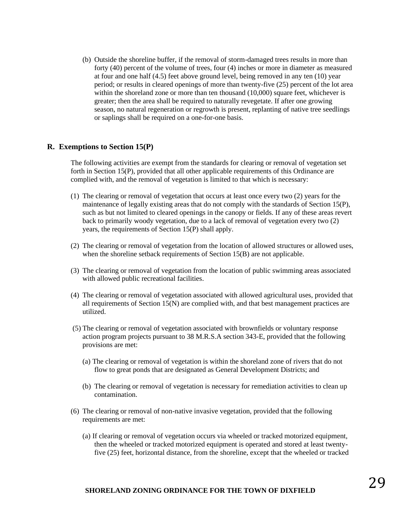(b) Outside the shoreline buffer, if the removal of storm-damaged trees results in more than forty (40) percent of the volume of trees, four (4) inches or more in diameter as measured at four and one half (4.5) feet above ground level, being removed in any ten (10) year period; or results in cleared openings of more than twenty-five (25) percent of the lot area within the shoreland zone or more than ten thousand (10,000) square feet, whichever is greater; then the area shall be required to naturally revegetate. If after one growing season, no natural regeneration or regrowth is present, replanting of native tree seedlings or saplings shall be required on a one-for-one basis.

#### **R. Exemptions to Section 15(P)**

The following activities are exempt from the standards for clearing or removal of vegetation set forth in Section 15(P), provided that all other applicable requirements of this Ordinance are complied with, and the removal of vegetation is limited to that which is necessary:

- (1) The clearing or removal of vegetation that occurs at least once every two (2) years for the maintenance of legally existing areas that do not comply with the standards of Section 15(P), such as but not limited to cleared openings in the canopy or fields. If any of these areas revert back to primarily woody vegetation, due to a lack of removal of vegetation every two (2) years, the requirements of Section 15(P) shall apply.
- (2) The clearing or removal of vegetation from the location of allowed structures or allowed uses, when the shoreline setback requirements of Section 15(B) are not applicable.
- (3) The clearing or removal of vegetation from the location of public swimming areas associated with allowed public recreational facilities.
- (4) The clearing or removal of vegetation associated with allowed agricultural uses, provided that all requirements of Section  $15(N)$  are complied with, and that best management practices are utilized.
- (5) The clearing or removal of vegetation associated with brownfields or voluntary response action program projects pursuant to 38 M.R.S.A section 343-E, provided that the following provisions are met:
	- (a) The clearing or removal of vegetation is within the shoreland zone of rivers that do not flow to great ponds that are designated as General Development Districts; and
	- (b) The clearing or removal of vegetation is necessary for remediation activities to clean up contamination.
- (6) The clearing or removal of non-native invasive vegetation, provided that the following requirements are met:
	- (a) If clearing or removal of vegetation occurs via wheeled or tracked motorized equipment, then the wheeled or tracked motorized equipment is operated and stored at least twentyfive (25) feet, horizontal distance, from the shoreline, except that the wheeled or tracked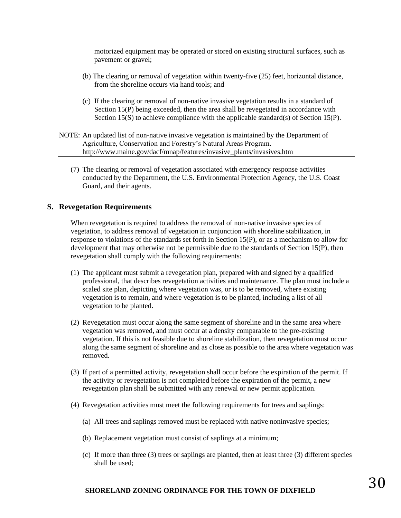motorized equipment may be operated or stored on existing structural surfaces, such as pavement or gravel;

- (b) The clearing or removal of vegetation within twenty-five (25) feet, horizontal distance, from the shoreline occurs via hand tools; and
- (c) If the clearing or removal of non-native invasive vegetation results in a standard of Section 15(P) being exceeded, then the area shall be revegetated in accordance with Section 15(S) to achieve compliance with the applicable standard(s) of Section 15(P).

NOTE: An updated list of non-native invasive vegetation is maintained by the Department of Agriculture, Conservation and Forestry's Natural Areas Program. http://www.maine.gov/dacf/mnap/features/invasive\_plants/invasives.htm

(7) The clearing or removal of vegetation associated with emergency response activities conducted by the Department, the U.S. Environmental Protection Agency, the U.S. Coast Guard, and their agents.

#### **S. Revegetation Requirements**

When revegetation is required to address the removal of non-native invasive species of vegetation, to address removal of vegetation in conjunction with shoreline stabilization, in response to violations of the standards set forth in Section 15(P), or as a mechanism to allow for development that may otherwise not be permissible due to the standards of Section 15(P), then revegetation shall comply with the following requirements:

- (1) The applicant must submit a revegetation plan, prepared with and signed by a qualified professional, that describes revegetation activities and maintenance. The plan must include a scaled site plan, depicting where vegetation was, or is to be removed, where existing vegetation is to remain, and where vegetation is to be planted, including a list of all vegetation to be planted.
- (2) Revegetation must occur along the same segment of shoreline and in the same area where vegetation was removed, and must occur at a density comparable to the pre-existing vegetation. If this is not feasible due to shoreline stabilization, then revegetation must occur along the same segment of shoreline and as close as possible to the area where vegetation was removed.
- (3) If part of a permitted activity, revegetation shall occur before the expiration of the permit. If the activity or revegetation is not completed before the expiration of the permit, a new revegetation plan shall be submitted with any renewal or new permit application.
- (4) Revegetation activities must meet the following requirements for trees and saplings:
	- (a) All trees and saplings removed must be replaced with native noninvasive species;
	- (b) Replacement vegetation must consist of saplings at a minimum;
	- (c) If more than three (3) trees or saplings are planted, then at least three (3) different species shall be used;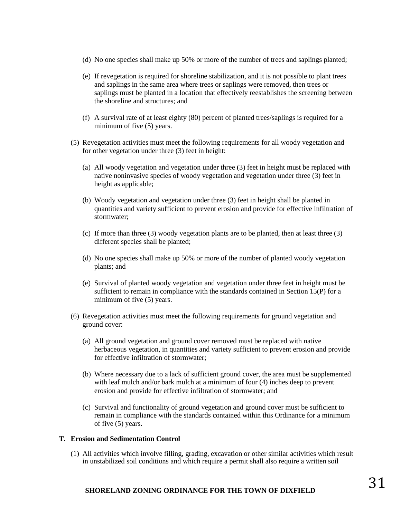- (d) No one species shall make up 50% or more of the number of trees and saplings planted;
- (e) If revegetation is required for shoreline stabilization, and it is not possible to plant trees and saplings in the same area where trees or saplings were removed, then trees or saplings must be planted in a location that effectively reestablishes the screening between the shoreline and structures; and
- (f) A survival rate of at least eighty (80) percent of planted trees/saplings is required for a minimum of five (5) years.
- (5) Revegetation activities must meet the following requirements for all woody vegetation and for other vegetation under three (3) feet in height:
	- (a) All woody vegetation and vegetation under three (3) feet in height must be replaced with native noninvasive species of woody vegetation and vegetation under three (3) feet in height as applicable;
	- (b) Woody vegetation and vegetation under three (3) feet in height shall be planted in quantities and variety sufficient to prevent erosion and provide for effective infiltration of stormwater;
	- (c) If more than three (3) woody vegetation plants are to be planted, then at least three (3) different species shall be planted;
	- (d) No one species shall make up 50% or more of the number of planted woody vegetation plants; and
	- (e) Survival of planted woody vegetation and vegetation under three feet in height must be sufficient to remain in compliance with the standards contained in Section 15(P) for a minimum of five (5) years.
- (6) Revegetation activities must meet the following requirements for ground vegetation and ground cover:
	- (a) All ground vegetation and ground cover removed must be replaced with native herbaceous vegetation, in quantities and variety sufficient to prevent erosion and provide for effective infiltration of stormwater;
	- (b) Where necessary due to a lack of sufficient ground cover, the area must be supplemented with leaf mulch and/or bark mulch at a minimum of four (4) inches deep to prevent erosion and provide for effective infiltration of stormwater; and
	- (c) Survival and functionality of ground vegetation and ground cover must be sufficient to remain in compliance with the standards contained within this Ordinance for a minimum of five (5) years.

#### **T. Erosion and Sedimentation Control**

(1) All activities which involve filling, grading, excavation or other similar activities which result in unstabilized soil conditions and which require a permit shall also require a written soil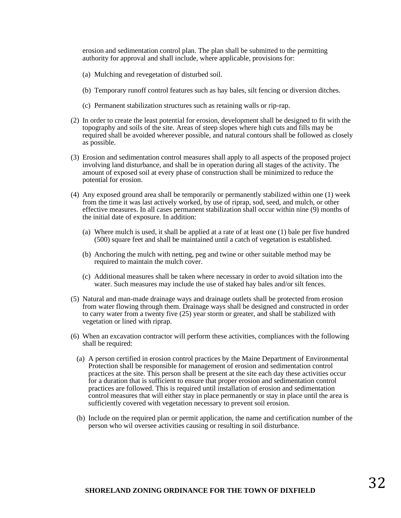erosion and sedimentation control plan. The plan shall be submitted to the permitting authority for approval and shall include, where applicable, provisions for:

- (a) Mulching and revegetation of disturbed soil.
- (b) Temporary runoff control features such as hay bales, silt fencing or diversion ditches.
- (c) Permanent stabilization structures such as retaining walls or rip-rap.
- (2) In order to create the least potential for erosion, development shall be designed to fit with the topography and soils of the site. Areas of steep slopes where high cuts and fills may be required shall be avoided wherever possible, and natural contours shall be followed as closely as possible.
- (3) Erosion and sedimentation control measures shall apply to all aspects of the proposed project involving land disturbance, and shall be in operation during all stages of the activity. The amount of exposed soil at every phase of construction shall be minimized to reduce the potential for erosion.
- (4) Any exposed ground area shall be temporarily or permanently stabilized within one (1) week from the time it was last actively worked, by use of riprap, sod, seed, and mulch, or other effective measures. In all cases permanent stabilization shall occur within nine (9) months of the initial date of exposure. In addition:
	- (a) Where mulch is used, it shall be applied at a rate of at least one (1) bale per five hundred (500) square feet and shall be maintained until a catch of vegetation is established.
	- (b) Anchoring the mulch with netting, peg and twine or other suitable method may be required to maintain the mulch cover.
	- (c) Additional measures shall be taken where necessary in order to avoid siltation into the water. Such measures may include the use of staked hay bales and/or silt fences.
- (5) Natural and man-made drainage ways and drainage outlets shall be protected from erosion from water flowing through them. Drainage ways shall be designed and constructed in order to carry water from a twenty five (25) year storm or greater, and shall be stabilized with vegetation or lined with riprap.
- (6) When an excavation contractor will perform these activities, compliances with the following shall be required:
	- (a) A person certified in erosion control practices by the Maine Department of Environmental Protection shall be responsible for management of erosion and sedimentation control practices at the site. This person shall be present at the site each day these activities occur for a duration that is sufficient to ensure that proper erosion and sedimentation control practices are followed. This is required until installation of erosion and sedimentation control measures that will either stay in place permanently or stay in place until the area is sufficiently covered with vegetation necessary to prevent soil erosion.
	- (b) Include on the required plan or permit application, the name and certification number of the person who wil oversee activities causing or resulting in soil disturbance.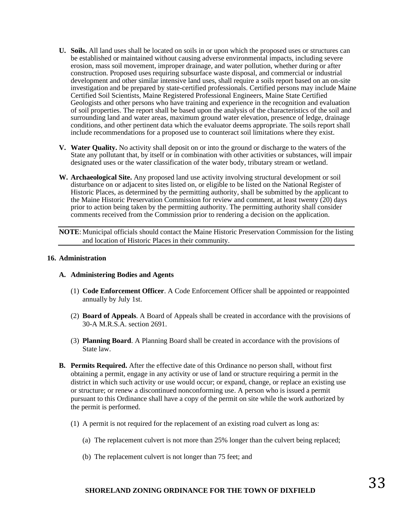- **U. Soils.** All land uses shall be located on soils in or upon which the proposed uses or structures can be established or maintained without causing adverse environmental impacts, including severe erosion, mass soil movement, improper drainage, and water pollution, whether during or after construction. Proposed uses requiring subsurface waste disposal, and commercial or industrial development and other similar intensive land uses, shall require a soils report based on an on-site investigation and be prepared by state-certified professionals. Certified persons may include Maine Certified Soil Scientists, Maine Registered Professional Engineers, Maine State Certified Geologists and other persons who have training and experience in the recognition and evaluation of soil properties. The report shall be based upon the analysis of the characteristics of the soil and surrounding land and water areas, maximum ground water elevation, presence of ledge, drainage conditions, and other pertinent data which the evaluator deems appropriate. The soils report shall include recommendations for a proposed use to counteract soil limitations where they exist.
- **V. Water Quality.** No activity shall deposit on or into the ground or discharge to the waters of the State any pollutant that, by itself or in combination with other activities or substances, will impair designated uses or the water classification of the water body, tributary stream or wetland.
- **W. Archaeological Site.** Any proposed land use activity involving structural development or soil disturbance on or adjacent to sites listed on, or eligible to be listed on the National Register of Historic Places, as determined by the permitting authority, shall be submitted by the applicant to the Maine Historic Preservation Commission for review and comment, at least twenty (20) days prior to action being taken by the permitting authority. The permitting authority shall consider comments received from the Commission prior to rendering a decision on the application.

**NOTE**: Municipal officials should contact the Maine Historic Preservation Commission for the listing and location of Historic Places in their community.

#### **16. Administration**

#### **A. Administering Bodies and Agents**

- (1) **Code Enforcement Officer**. A Code Enforcement Officer shall be appointed or reappointed annually by July 1st.
- (2) **Board of Appeals**. A Board of Appeals shall be created in accordance with the provisions of 30-A M.R.S.A. section 2691.
- (3) **Planning Board**. A Planning Board shall be created in accordance with the provisions of State law.
- **B. Permits Required.** After the effective date of this Ordinance no person shall, without first obtaining a permit, engage in any activity or use of land or structure requiring a permit in the district in which such activity or use would occur; or expand, change, or replace an existing use or structure; or renew a discontinued nonconforming use. A person who is issued a permit pursuant to this Ordinance shall have a copy of the permit on site while the work authorized by the permit is performed.
	- (1) A permit is not required for the replacement of an existing road culvert as long as:
		- (a) The replacement culvert is not more than 25% longer than the culvert being replaced;
		- (b) The replacement culvert is not longer than 75 feet; and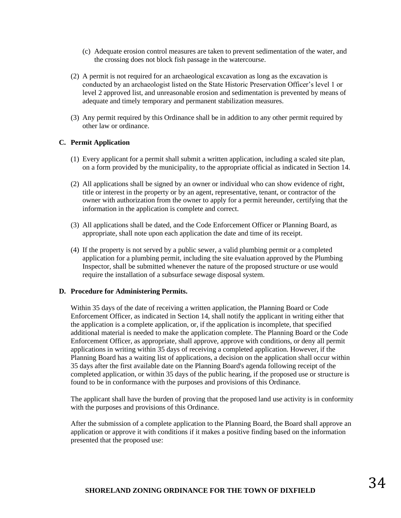- (c) Adequate erosion control measures are taken to prevent sedimentation of the water, and the crossing does not block fish passage in the watercourse.
- (2) A permit is not required for an archaeological excavation as long as the excavation is conducted by an archaeologist listed on the State Historic Preservation Officer's level 1 or level 2 approved list, and unreasonable erosion and sedimentation is prevented by means of adequate and timely temporary and permanent stabilization measures.
- (3) Any permit required by this Ordinance shall be in addition to any other permit required by other law or ordinance.

#### **C. Permit Application**

- (1) Every applicant for a permit shall submit a written application, including a scaled site plan, on a form provided by the municipality, to the appropriate official as indicated in Section 14.
- (2) All applications shall be signed by an owner or individual who can show evidence of right, title or interest in the property or by an agent, representative, tenant, or contractor of the owner with authorization from the owner to apply for a permit hereunder, certifying that the information in the application is complete and correct.
- (3) All applications shall be dated, and the Code Enforcement Officer or Planning Board, as appropriate, shall note upon each application the date and time of its receipt.
- (4) If the property is not served by a public sewer, a valid plumbing permit or a completed application for a plumbing permit, including the site evaluation approved by the Plumbing Inspector, shall be submitted whenever the nature of the proposed structure or use would require the installation of a subsurface sewage disposal system.

#### **D. Procedure for Administering Permits.**

Within 35 days of the date of receiving a written application, the Planning Board or Code Enforcement Officer, as indicated in Section 14, shall notify the applicant in writing either that the application is a complete application, or, if the application is incomplete, that specified additional material is needed to make the application complete. The Planning Board or the Code Enforcement Officer, as appropriate, shall approve, approve with conditions, or deny all permit applications in writing within 35 days of receiving a completed application. However, if the Planning Board has a waiting list of applications, a decision on the application shall occur within 35 days after the first available date on the Planning Board's agenda following receipt of the completed application, or within 35 days of the public hearing, if the proposed use or structure is found to be in conformance with the purposes and provisions of this Ordinance.

The applicant shall have the burden of proving that the proposed land use activity is in conformity with the purposes and provisions of this Ordinance.

After the submission of a complete application to the Planning Board, the Board shall approve an application or approve it with conditions if it makes a positive finding based on the information presented that the proposed use: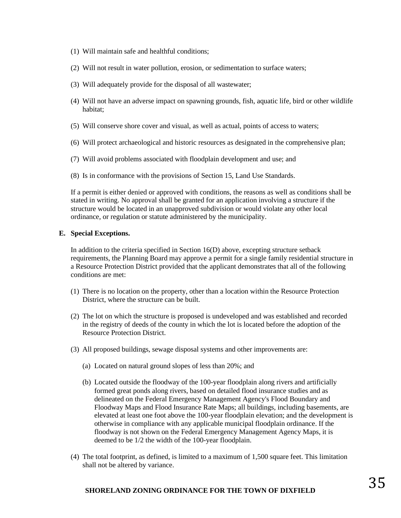- (1) Will maintain safe and healthful conditions;
- (2) Will not result in water pollution, erosion, or sedimentation to surface waters;
- (3) Will adequately provide for the disposal of all wastewater;
- (4) Will not have an adverse impact on spawning grounds, fish, aquatic life, bird or other wildlife habitat;
- (5) Will conserve shore cover and visual, as well as actual, points of access to waters;
- (6) Will protect archaeological and historic resources as designated in the comprehensive plan;
- (7) Will avoid problems associated with floodplain development and use; and
- (8) Is in conformance with the provisions of Section 15, Land Use Standards.

If a permit is either denied or approved with conditions, the reasons as well as conditions shall be stated in writing. No approval shall be granted for an application involving a structure if the structure would be located in an unapproved subdivision or would violate any other local ordinance, or regulation or statute administered by the municipality.

#### **E. Special Exceptions.**

In addition to the criteria specified in Section  $16(D)$  above, excepting structure setback requirements, the Planning Board may approve a permit for a single family residential structure in a Resource Protection District provided that the applicant demonstrates that all of the following conditions are met:

- (1) There is no location on the property, other than a location within the Resource Protection District, where the structure can be built.
- (2) The lot on which the structure is proposed is undeveloped and was established and recorded in the registry of deeds of the county in which the lot is located before the adoption of the Resource Protection District.
- (3) All proposed buildings, sewage disposal systems and other improvements are:
	- (a) Located on natural ground slopes of less than 20%; and
	- (b) Located outside the floodway of the 100-year floodplain along rivers and artificially formed great ponds along rivers, based on detailed flood insurance studies and as delineated on the Federal Emergency Management Agency's Flood Boundary and Floodway Maps and Flood Insurance Rate Maps; all buildings, including basements, are elevated at least one foot above the 100-year floodplain elevation; and the development is otherwise in compliance with any applicable municipal floodplain ordinance. If the floodway is not shown on the Federal Emergency Management Agency Maps, it is deemed to be 1/2 the width of the 100-year floodplain.
- (4) The total footprint, as defined, is limited to a maximum of 1,500 square feet. This limitation shall not be altered by variance.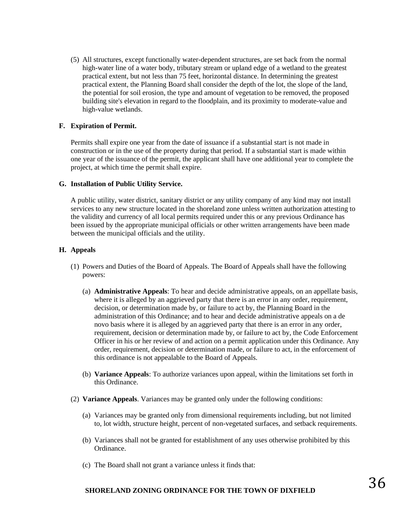(5) All structures, except functionally water-dependent structures, are set back from the normal high-water line of a water body, tributary stream or upland edge of a wetland to the greatest practical extent, but not less than 75 feet, horizontal distance. In determining the greatest practical extent, the Planning Board shall consider the depth of the lot, the slope of the land, the potential for soil erosion, the type and amount of vegetation to be removed, the proposed building site's elevation in regard to the floodplain, and its proximity to moderate-value and high-value wetlands.

#### **F. Expiration of Permit.**

Permits shall expire one year from the date of issuance if a substantial start is not made in construction or in the use of the property during that period. If a substantial start is made within one year of the issuance of the permit, the applicant shall have one additional year to complete the project, at which time the permit shall expire.

#### **G. Installation of Public Utility Service.**

A public utility, water district, sanitary district or any utility company of any kind may not install services to any new structure located in the shoreland zone unless written authorization attesting to the validity and currency of all local permits required under this or any previous Ordinance has been issued by the appropriate municipal officials or other written arrangements have been made between the municipal officials and the utility.

#### **H. Appeals**

- (1) Powers and Duties of the Board of Appeals. The Board of Appeals shall have the following powers:
	- (a) **Administrative Appeals**: To hear and decide administrative appeals, on an appellate basis, where it is alleged by an aggrieved party that there is an error in any order, requirement, decision, or determination made by, or failure to act by, the Planning Board in the administration of this Ordinance; and to hear and decide administrative appeals on a de novo basis where it is alleged by an aggrieved party that there is an error in any order, requirement, decision or determination made by, or failure to act by, the Code Enforcement Officer in his or her review of and action on a permit application under this Ordinance. Any order, requirement, decision or determination made, or failure to act, in the enforcement of this ordinance is not appealable to the Board of Appeals.
	- (b) **Variance Appeals**: To authorize variances upon appeal, within the limitations set forth in this Ordinance.
- (2) **Variance Appeals**. Variances may be granted only under the following conditions:
	- (a) Variances may be granted only from dimensional requirements including, but not limited to, lot width, structure height, percent of non-vegetated surfaces, and setback requirements.
	- (b) Variances shall not be granted for establishment of any uses otherwise prohibited by this Ordinance.
	- (c) The Board shall not grant a variance unless it finds that: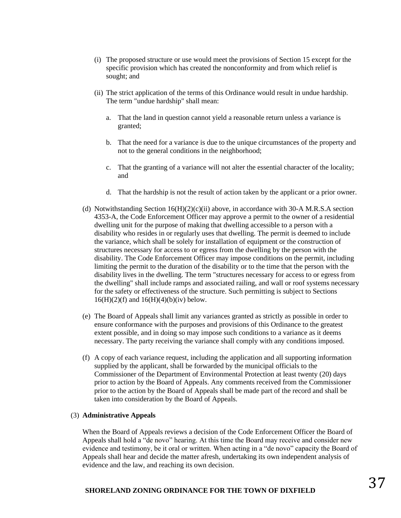- (i) The proposed structure or use would meet the provisions of Section 15 except for the specific provision which has created the nonconformity and from which relief is sought; and
- (ii) The strict application of the terms of this Ordinance would result in undue hardship. The term "undue hardship" shall mean:
	- a. That the land in question cannot yield a reasonable return unless a variance is granted;
	- b. That the need for a variance is due to the unique circumstances of the property and not to the general conditions in the neighborhood;
	- c. That the granting of a variance will not alter the essential character of the locality; and
	- d. That the hardship is not the result of action taken by the applicant or a prior owner.
- (d) Notwithstanding Section  $16(H)(2)(c)(ii)$  above, in accordance with 30-A M.R.S.A section 4353-A, the Code Enforcement Officer may approve a permit to the owner of a residential dwelling unit for the purpose of making that dwelling accessible to a person with a disability who resides in or regularly uses that dwelling. The permit is deemed to include the variance, which shall be solely for installation of equipment or the construction of structures necessary for access to or egress from the dwelling by the person with the disability. The Code Enforcement Officer may impose conditions on the permit, including limiting the permit to the duration of the disability or to the time that the person with the disability lives in the dwelling. The term "structures necessary for access to or egress from the dwelling" shall include ramps and associated railing, and wall or roof systems necessary for the safety or effectiveness of the structure. Such permitting is subject to Sections  $16(H)(2)(f)$  and  $16(H)(4)(b)(iv)$  below.
- (e) The Board of Appeals shall limit any variances granted as strictly as possible in order to ensure conformance with the purposes and provisions of this Ordinance to the greatest extent possible, and in doing so may impose such conditions to a variance as it deems necessary. The party receiving the variance shall comply with any conditions imposed.
- (f) A copy of each variance request, including the application and all supporting information supplied by the applicant, shall be forwarded by the municipal officials to the Commissioner of the Department of Environmental Protection at least twenty (20) days prior to action by the Board of Appeals. Any comments received from the Commissioner prior to the action by the Board of Appeals shall be made part of the record and shall be taken into consideration by the Board of Appeals.

#### (3) **Administrative Appeals**

When the Board of Appeals reviews a decision of the Code Enforcement Officer the Board of Appeals shall hold a "de novo" hearing. At this time the Board may receive and consider new evidence and testimony, be it oral or written. When acting in a "de novo" capacity the Board of Appeals shall hear and decide the matter afresh, undertaking its own independent analysis of evidence and the law, and reaching its own decision.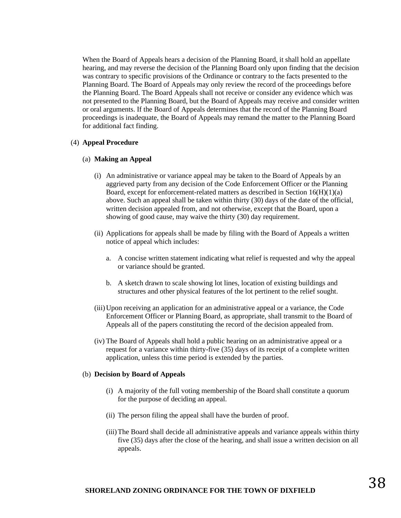When the Board of Appeals hears a decision of the Planning Board, it shall hold an appellate hearing, and may reverse the decision of the Planning Board only upon finding that the decision was contrary to specific provisions of the Ordinance or contrary to the facts presented to the Planning Board. The Board of Appeals may only review the record of the proceedings before the Planning Board. The Board Appeals shall not receive or consider any evidence which was not presented to the Planning Board, but the Board of Appeals may receive and consider written or oral arguments. If the Board of Appeals determines that the record of the Planning Board proceedings is inadequate, the Board of Appeals may remand the matter to the Planning Board for additional fact finding.

#### (4) **Appeal Procedure**

#### (a) **Making an Appeal**

- (i) An administrative or variance appeal may be taken to the Board of Appeals by an aggrieved party from any decision of the Code Enforcement Officer or the Planning Board, except for enforcement-related matters as described in Section  $16(H)(1)(a)$ above. Such an appeal shall be taken within thirty (30) days of the date of the official, written decision appealed from, and not otherwise, except that the Board, upon a showing of good cause, may waive the thirty (30) day requirement.
- (ii) Applications for appeals shall be made by filing with the Board of Appeals a written notice of appeal which includes:
	- a. A concise written statement indicating what relief is requested and why the appeal or variance should be granted.
	- b. A sketch drawn to scale showing lot lines, location of existing buildings and structures and other physical features of the lot pertinent to the relief sought.
- (iii)Upon receiving an application for an administrative appeal or a variance, the Code Enforcement Officer or Planning Board, as appropriate, shall transmit to the Board of Appeals all of the papers constituting the record of the decision appealed from.
- (iv) The Board of Appeals shall hold a public hearing on an administrative appeal or a request for a variance within thirty-five (35) days of its receipt of a complete written application, unless this time period is extended by the parties.

#### (b) **Decision by Board of Appeals**

- (i) A majority of the full voting membership of the Board shall constitute a quorum for the purpose of deciding an appeal.
- (ii) The person filing the appeal shall have the burden of proof.
- (iii)The Board shall decide all administrative appeals and variance appeals within thirty five (35) days after the close of the hearing, and shall issue a written decision on all appeals.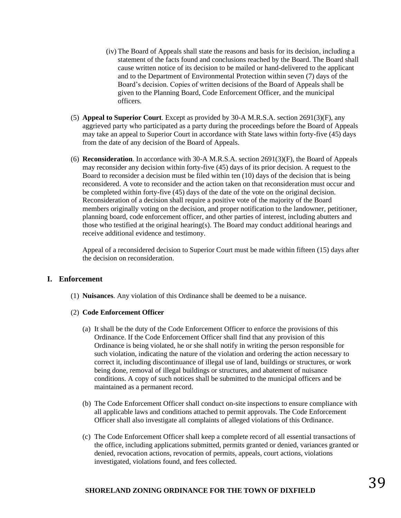- (iv) The Board of Appeals shall state the reasons and basis for its decision, including a statement of the facts found and conclusions reached by the Board. The Board shall cause written notice of its decision to be mailed or hand-delivered to the applicant and to the Department of Environmental Protection within seven (7) days of the Board's decision. Copies of written decisions of the Board of Appeals shall be given to the Planning Board, Code Enforcement Officer, and the municipal officers.
- (5) **Appeal to Superior Court**. Except as provided by 30-A M.R.S.A. section 2691(3)(F), any aggrieved party who participated as a party during the proceedings before the Board of Appeals may take an appeal to Superior Court in accordance with State laws within forty-five (45) days from the date of any decision of the Board of Appeals.
- (6) **Reconsideration**. In accordance with 30-A M.R.S.A. section 2691(3)(F), the Board of Appeals may reconsider any decision within forty-five (45) days of its prior decision. A request to the Board to reconsider a decision must be filed within ten (10) days of the decision that is being reconsidered. A vote to reconsider and the action taken on that reconsideration must occur and be completed within forty-five (45) days of the date of the vote on the original decision. Reconsideration of a decision shall require a positive vote of the majority of the Board members originally voting on the decision, and proper notification to the landowner, petitioner, planning board, code enforcement officer, and other parties of interest, including abutters and those who testified at the original hearing(s). The Board may conduct additional hearings and receive additional evidence and testimony.

Appeal of a reconsidered decision to Superior Court must be made within fifteen (15) days after the decision on reconsideration.

#### **I. Enforcement**

(1) **Nuisances**. Any violation of this Ordinance shall be deemed to be a nuisance.

#### (2) **Code Enforcement Officer**

- (a) It shall be the duty of the Code Enforcement Officer to enforce the provisions of this Ordinance. If the Code Enforcement Officer shall find that any provision of this Ordinance is being violated, he or she shall notify in writing the person responsible for such violation, indicating the nature of the violation and ordering the action necessary to correct it, including discontinuance of illegal use of land, buildings or structures, or work being done, removal of illegal buildings or structures, and abatement of nuisance conditions. A copy of such notices shall be submitted to the municipal officers and be maintained as a permanent record.
- (b) The Code Enforcement Officer shall conduct on-site inspections to ensure compliance with all applicable laws and conditions attached to permit approvals. The Code Enforcement Officer shall also investigate all complaints of alleged violations of this Ordinance.
- (c) The Code Enforcement Officer shall keep a complete record of all essential transactions of the office, including applications submitted, permits granted or denied, variances granted or denied, revocation actions, revocation of permits, appeals, court actions, violations investigated, violations found, and fees collected.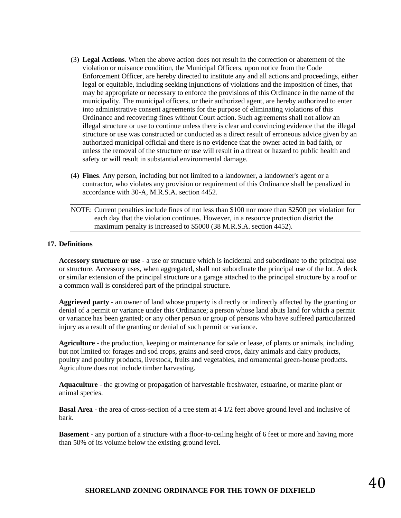- (3) **Legal Actions**. When the above action does not result in the correction or abatement of the violation or nuisance condition, the Municipal Officers, upon notice from the Code Enforcement Officer, are hereby directed to institute any and all actions and proceedings, either legal or equitable, including seeking injunctions of violations and the imposition of fines, that may be appropriate or necessary to enforce the provisions of this Ordinance in the name of the municipality. The municipal officers, or their authorized agent, are hereby authorized to enter into administrative consent agreements for the purpose of eliminating violations of this Ordinance and recovering fines without Court action. Such agreements shall not allow an illegal structure or use to continue unless there is clear and convincing evidence that the illegal structure or use was constructed or conducted as a direct result of erroneous advice given by an authorized municipal official and there is no evidence that the owner acted in bad faith, or unless the removal of the structure or use will result in a threat or hazard to public health and safety or will result in substantial environmental damage.
- (4) **Fines**. Any person, including but not limited to a landowner, a landowner's agent or a contractor, who violates any provision or requirement of this Ordinance shall be penalized in accordance with 30-A, M.R.S.A. section 4452.

NOTE: Current penalties include fines of not less than \$100 nor more than \$2500 per violation for each day that the violation continues. However, in a resource protection district the maximum penalty is increased to \$5000 (38 M.R.S.A. section 4452).

#### **17. Definitions**

**Accessory structure or use** - a use or structure which is incidental and subordinate to the principal use or structure. Accessory uses, when aggregated, shall not subordinate the principal use of the lot. A deck or similar extension of the principal structure or a garage attached to the principal structure by a roof or a common wall is considered part of the principal structure.

**Aggrieved party** - an owner of land whose property is directly or indirectly affected by the granting or denial of a permit or variance under this Ordinance; a person whose land abuts land for which a permit or variance has been granted; or any other person or group of persons who have suffered particularized injury as a result of the granting or denial of such permit or variance.

**Agriculture** - the production, keeping or maintenance for sale or lease, of plants or animals, including but not limited to: forages and sod crops, grains and seed crops, dairy animals and dairy products, poultry and poultry products, livestock, fruits and vegetables, and ornamental green-house products. Agriculture does not include timber harvesting.

**Aquaculture** - the growing or propagation of harvestable freshwater, estuarine, or marine plant or animal species.

**Basal Area** - the area of cross-section of a tree stem at 4 1/2 feet above ground level and inclusive of bark.

**Basement** - any portion of a structure with a floor-to-ceiling height of 6 feet or more and having more than 50% of its volume below the existing ground level.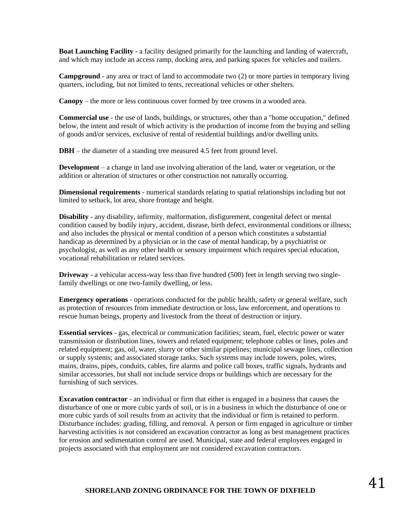**Boat Launching Facility** - a facility designed primarily for the launching and landing of watercraft, and which may include an access ramp, docking area, and parking spaces for vehicles and trailers.

**Campground** - any area or tract of land to accommodate two (2) or more parties in temporary living quarters, including, but not limited to tents, recreational vehicles or other shelters.

**Canopy** – the more or less continuous cover formed by tree crowns in a wooded area.

**Commercial use** - the use of lands, buildings, or structures, other than a "home occupation," defined below, the intent and result of which activity is the production of income from the buying and selling of goods and/or services, exclusive of rental of residential buildings and/or dwelling units.

**DBH** – the diameter of a standing tree measured 4.5 feet from ground level.

**Development** – a change in land use involving alteration of the land, water or vegetation, or the addition or alteration of structures or other construction not naturally occurring.

**Dimensional requirements** - numerical standards relating to spatial relationships including but not limited to setback, lot area, shore frontage and height.

**Disability** - any disability, infirmity, malformation, disfigurement, congenital defect or mental condition caused by bodily injury, accident, disease, birth defect, environmental conditions or illness; and also includes the physical or mental condition of a person which constitutes a substantial handicap as determined by a physician or in the case of mental handicap, by a psychiatrist or psychologist, as well as any other health or sensory impairment which requires special education, vocational rehabilitation or related services.

**Driveway** - a vehicular access-way less than five hundred (500) feet in length serving two singlefamily dwellings or one two-family dwelling, or less.

**Emergency operations** - operations conducted for the public health, safety or general welfare, such as protection of resources from immediate destruction or loss, law enforcement, and operations to rescue human beings, property and livestock from the threat of destruction or injury.

**Essential services** - gas, electrical or communication facilities; steam, fuel, electric power or water transmission or distribution lines, towers and related equipment; telephone cables or lines, poles and related equipment; gas, oil, water, slurry or other similar pipelines; municipal sewage lines, collection or supply systems; and associated storage tanks. Such systems may include towers, poles, wires, mains, drains, pipes, conduits, cables, fire alarms and police call boxes, traffic signals, hydrants and similar accessories, but shall not include service drops or buildings which are necessary for the furnishing of such services.

**Excavation contractor** - an individual or firm that either is engaged in a business that causes the disturbance of one or more cubic yards of soil, or is in a business in which the disturbance of one or more cubic yards of soil results from an activity that the individual or firm is retained to perform. Disturbance includes: grading, filling, and removal. A person or firm engaged in agriculture or timber harvesting activities is not considered an excavation contractor as long as best management practices for erosion and sedimentation control are used. Municipal, state and federal employees engaged in projects associated with that employment are not considered excavation contractors.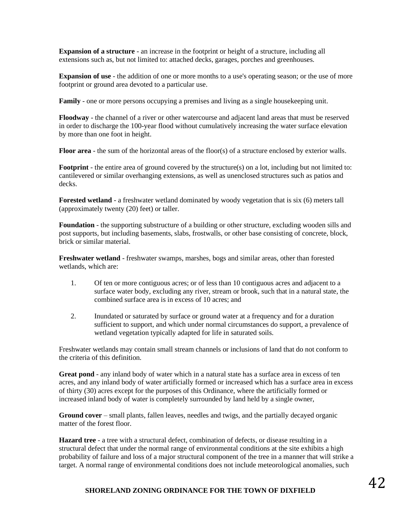**Expansion of a structure** - an increase in the footprint or height of a structure, including all extensions such as, but not limited to: attached decks, garages, porches and greenhouses.

**Expansion of use** - the addition of one or more months to a use's operating season; or the use of more footprint or ground area devoted to a particular use.

**Family** - one or more persons occupying a premises and living as a single housekeeping unit.

**Floodway** - the channel of a river or other watercourse and adjacent land areas that must be reserved in order to discharge the 100-year flood without cumulatively increasing the water surface elevation by more than one foot in height.

**Floor area** - the sum of the horizontal areas of the floor(s) of a structure enclosed by exterior walls.

**Footprint** - the entire area of ground covered by the structure(s) on a lot, including but not limited to: cantilevered or similar overhanging extensions, as well as unenclosed structures such as patios and decks.

**Forested wetland** - a freshwater wetland dominated by woody vegetation that is six (6) meters tall (approximately twenty (20) feet) or taller.

**Foundation** - the supporting substructure of a building or other structure, excluding wooden sills and post supports, but including basements, slabs, frostwalls, or other base consisting of concrete, block, brick or similar material.

**Freshwater wetland** - freshwater swamps, marshes, bogs and similar areas, other than forested wetlands, which are:

- 1. Of ten or more contiguous acres; or of less than 10 contiguous acres and adjacent to a surface water body, excluding any river, stream or brook, such that in a natural state, the combined surface area is in excess of 10 acres; and
- 2. Inundated or saturated by surface or ground water at a frequency and for a duration sufficient to support, and which under normal circumstances do support, a prevalence of wetland vegetation typically adapted for life in saturated soils.

Freshwater wetlands may contain small stream channels or inclusions of land that do not conform to the criteria of this definition.

**Great pond** - any inland body of water which in a natural state has a surface area in excess of ten acres, and any inland body of water artificially formed or increased which has a surface area in excess of thirty (30) acres except for the purposes of this Ordinance, where the artificially formed or increased inland body of water is completely surrounded by land held by a single owner,

**Ground cover** – small plants, fallen leaves, needles and twigs, and the partially decayed organic matter of the forest floor.

**Hazard tree** - a tree with a structural defect, combination of defects, or disease resulting in a structural defect that under the normal range of environmental conditions at the site exhibits a high probability of failure and loss of a major structural component of the tree in a manner that will strike a target. A normal range of environmental conditions does not include meteorological anomalies, such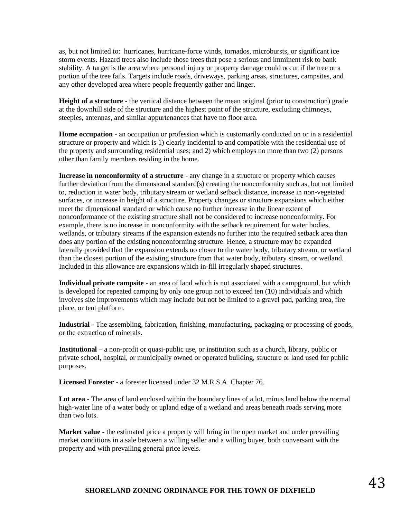as, but not limited to: hurricanes, hurricane-force winds, tornados, microbursts, or significant ice storm events. Hazard trees also include those trees that pose a serious and imminent risk to bank stability. A target is the area where personal injury or property damage could occur if the tree or a portion of the tree fails. Targets include roads, driveways, parking areas, structures, campsites, and any other developed area where people frequently gather and linger.

**Height of a structure** - the vertical distance between the mean original (prior to construction) grade at the downhill side of the structure and the highest point of the structure, excluding chimneys, steeples, antennas, and similar appurtenances that have no floor area.

**Home occupation** - an occupation or profession which is customarily conducted on or in a residential structure or property and which is 1) clearly incidental to and compatible with the residential use of the property and surrounding residential uses; and 2) which employs no more than two (2) persons other than family members residing in the home.

**Increase in nonconformity of a structure** - any change in a structure or property which causes further deviation from the dimensional standard(s) creating the nonconformity such as, but not limited to, reduction in water body, tributary stream or wetland setback distance, increase in non-vegetated surfaces, or increase in height of a structure. Property changes or structure expansions which either meet the dimensional standard or which cause no further increase in the linear extent of nonconformance of the existing structure shall not be considered to increase nonconformity. For example, there is no increase in nonconformity with the setback requirement for water bodies, wetlands, or tributary streams if the expansion extends no further into the required setback area than does any portion of the existing nonconforming structure. Hence, a structure may be expanded laterally provided that the expansion extends no closer to the water body, tributary stream, or wetland than the closest portion of the existing structure from that water body, tributary stream, or wetland. Included in this allowance are expansions which in-fill irregularly shaped structures.

**Individual private campsite** - an area of land which is not associated with a campground, but which is developed for repeated camping by only one group not to exceed ten (10) individuals and which involves site improvements which may include but not be limited to a gravel pad, parking area, fire place, or tent platform.

**Industrial** - The assembling, fabrication, finishing, manufacturing, packaging or processing of goods, or the extraction of minerals.

**Institutional** – a non-profit or quasi-public use, or institution such as a church, library, public or private school, hospital, or municipally owned or operated building, structure or land used for public purposes.

**Licensed Forester** - a forester licensed under 32 M.R.S.A. Chapter 76.

**Lot area** - The area of land enclosed within the boundary lines of a lot, minus land below the normal high-water line of a water body or upland edge of a wetland and areas beneath roads serving more than two lots.

**Market value** - the estimated price a property will bring in the open market and under prevailing market conditions in a sale between a willing seller and a willing buyer, both conversant with the property and with prevailing general price levels.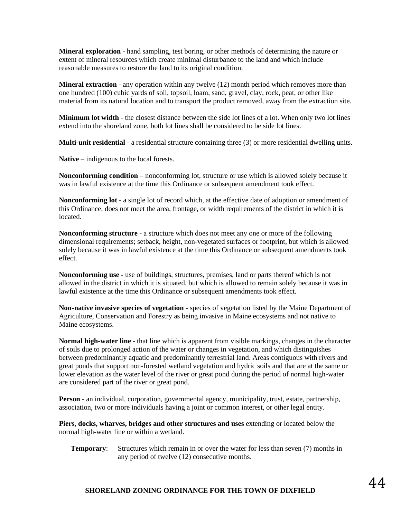**Mineral exploration** - hand sampling, test boring, or other methods of determining the nature or extent of mineral resources which create minimal disturbance to the land and which include reasonable measures to restore the land to its original condition.

**Mineral extraction** - any operation within any twelve (12) month period which removes more than one hundred (100) cubic yards of soil, topsoil, loam, sand, gravel, clay, rock, peat, or other like material from its natural location and to transport the product removed, away from the extraction site.

**Minimum lot width** - the closest distance between the side lot lines of a lot. When only two lot lines extend into the shoreland zone, both lot lines shall be considered to be side lot lines.

**Multi-unit residential** - a residential structure containing three (3) or more residential dwelling units.

**Native** – indigenous to the local forests.

**Nonconforming condition** – nonconforming lot, structure or use which is allowed solely because it was in lawful existence at the time this Ordinance or subsequent amendment took effect.

**Nonconforming lot** - a single lot of record which, at the effective date of adoption or amendment of this Ordinance, does not meet the area, frontage, or width requirements of the district in which it is located.

**Nonconforming structure** - a structure which does not meet any one or more of the following dimensional requirements; setback, height, non-vegetated surfaces or footprint, but which is allowed solely because it was in lawful existence at the time this Ordinance or subsequent amendments took effect.

**Nonconforming use** - use of buildings, structures, premises, land or parts thereof which is not allowed in the district in which it is situated, but which is allowed to remain solely because it was in lawful existence at the time this Ordinance or subsequent amendments took effect.

**Non-native invasive species of vegetation** - species of vegetation listed by the Maine Department of Agriculture, Conservation and Forestry as being invasive in Maine ecosystems and not native to Maine ecosystems.

**Normal high-water line** - that line which is apparent from visible markings, changes in the character of soils due to prolonged action of the water or changes in vegetation, and which distinguishes between predominantly aquatic and predominantly terrestrial land. Areas contiguous with rivers and great ponds that support non-forested wetland vegetation and hydric soils and that are at the same or lower elevation as the water level of the river or great pond during the period of normal high-water are considered part of the river or great pond.

**Person** - an individual, corporation, governmental agency, municipality, trust, estate, partnership, association, two or more individuals having a joint or common interest, or other legal entity.

**Piers, docks, wharves, bridges and other structures and uses** extending or located below the normal high-water line or within a wetland.

**Temporary:** Structures which remain in or over the water for less than seven (7) months in any period of twelve (12) consecutive months.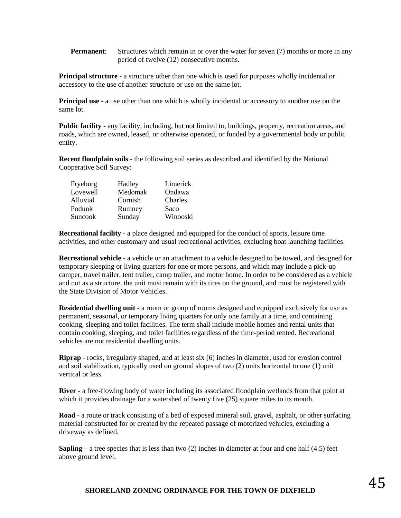**Permanent:** Structures which remain in or over the water for seven (7) months or more in any period of twelve (12) consecutive months.

**Principal structure** - a structure other than one which is used for purposes wholly incidental or accessory to the use of another structure or use on the same lot.

**Principal use** - a use other than one which is wholly incidental or accessory to another use on the same lot.

**Public facility** - any facility, including, but not limited to, buildings, property, recreation areas, and roads, which are owned, leased, or otherwise operated, or funded by a governmental body or public entity.

**Recent floodplain soils** - the following soil series as described and identified by the National Cooperative Soil Survey:

| Fryeburg | Hadley  | Limerick |
|----------|---------|----------|
| Lovewell | Medomak | Ondawa   |
| Alluvial | Cornish | Charles  |
| Podunk   | Rumney  | Saco     |
| Suncook  | Sunday  | Winooski |

**Recreational facility** - a place designed and equipped for the conduct of sports, leisure time activities, and other customary and usual recreational activities, excluding boat launching facilities.

**Recreational vehicle** - a vehicle or an attachment to a vehicle designed to be towed, and designed for temporary sleeping or living quarters for one or more persons, and which may include a pick-up camper, travel trailer, tent trailer, camp trailer, and motor home. In order to be considered as a vehicle and not as a structure, the unit must remain with its tires on the ground, and must be registered with the State Division of Motor Vehicles.

**Residential dwelling unit** - a room or group of rooms designed and equipped exclusively for use as permanent, seasonal, or temporary living quarters for only one family at a time, and containing cooking, sleeping and toilet facilities. The term shall include mobile homes and rental units that contain cooking, sleeping, and toilet facilities regardless of the time-period rented. Recreational vehicles are not residential dwelling units.

**Riprap** - rocks, irregularly shaped, and at least six (6) inches in diameter, used for erosion control and soil stabilization, typically used on ground slopes of two (2) units horizontal to one (1) unit vertical or less.

**River** - a free-flowing body of water including its associated floodplain wetlands from that point at which it provides drainage for a watershed of twenty five (25) square miles to its mouth.

**Road** - a route or track consisting of a bed of exposed mineral soil, gravel, asphalt, or other surfacing material constructed for or created by the repeated passage of motorized vehicles, excluding a driveway as defined.

**Sapling** – a tree species that is less than two  $(2)$  inches in diameter at four and one half  $(4.5)$  feet above ground level.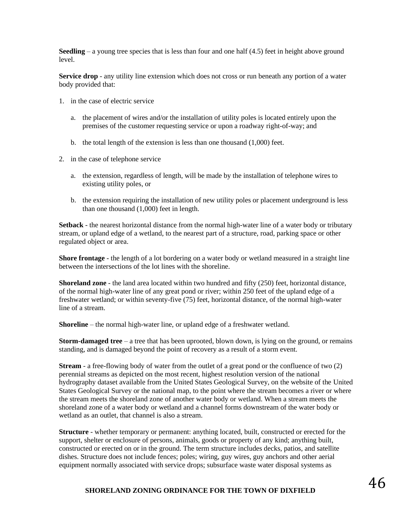**Seedling** – a young tree species that is less than four and one half  $(4.5)$  feet in height above ground level.

**Service drop** - any utility line extension which does not cross or run beneath any portion of a water body provided that:

- 1. in the case of electric service
	- a. the placement of wires and/or the installation of utility poles is located entirely upon the premises of the customer requesting service or upon a roadway right-of-way; and
	- b. the total length of the extension is less than one thousand (1,000) feet.
- 2. in the case of telephone service
	- a. the extension, regardless of length, will be made by the installation of telephone wires to existing utility poles, or
	- b. the extension requiring the installation of new utility poles or placement underground is less than one thousand (1,000) feet in length.

**Setback** - the nearest horizontal distance from the normal high-water line of a water body or tributary stream, or upland edge of a wetland, to the nearest part of a structure, road, parking space or other regulated object or area.

**Shore frontage** - the length of a lot bordering on a water body or wetland measured in a straight line between the intersections of the lot lines with the shoreline.

**Shoreland zone** - the land area located within two hundred and fifty (250) feet, horizontal distance, of the normal high-water line of any great pond or river; within 250 feet of the upland edge of a freshwater wetland; or within seventy-five (75) feet, horizontal distance, of the normal high-water line of a stream.

**Shoreline** – the normal high-water line, or upland edge of a freshwater wetland.

**Storm-damaged tree** – a tree that has been uprooted, blown down, is lying on the ground, or remains standing, and is damaged beyond the point of recovery as a result of a storm event.

**Stream** - a free-flowing body of water from the outlet of a great pond or the confluence of two (2) perennial streams as depicted on the most recent, highest resolution version of the national hydrography dataset available from the United States Geological Survey, on the website of the United States Geological Survey or the national map, to the point where the stream becomes a river or where the stream meets the shoreland zone of another water body or wetland. When a stream meets the shoreland zone of a water body or wetland and a channel forms downstream of the water body or wetland as an outlet, that channel is also a stream.

**Structure** - whether temporary or permanent: anything located, built, constructed or erected for the support, shelter or enclosure of persons, animals, goods or property of any kind; anything built, constructed or erected on or in the ground. The term structure includes decks, patios, and satellite dishes. Structure does not include fences; poles; wiring, guy wires, guy anchors and other aerial equipment normally associated with service drops; subsurface waste water disposal systems as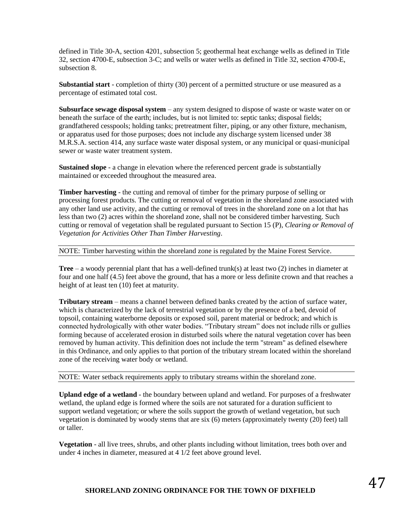defined in Title 30-A, section 4201, subsection 5; geothermal heat exchange wells as defined in Title 32, section 4700-E, subsection 3-C; and wells or water wells as defined in Title 32, section 4700-E, subsection 8.

**Substantial start** - completion of thirty (30) percent of a permitted structure or use measured as a percentage of estimated total cost.

**Subsurface sewage disposal system** – any system designed to dispose of waste or waste water on or beneath the surface of the earth; includes, but is not limited to: septic tanks; disposal fields; grandfathered cesspools; holding tanks; pretreatment filter, piping, or any other fixture, mechanism, or apparatus used for those purposes; does not include any discharge system licensed under 38 M.R.S.A. section 414, any surface waste water disposal system, or any municipal or quasi-municipal sewer or waste water treatment system.

**Sustained slope** - a change in elevation where the referenced percent grade is substantially maintained or exceeded throughout the measured area.

**Timber harvesting** - the cutting and removal of timber for the primary purpose of selling or processing forest products. The cutting or removal of vegetation in the shoreland zone associated with any other land use activity, and the cutting or removal of trees in the shoreland zone on a lot that has less than two (2) acres within the shoreland zone, shall not be considered timber harvesting. Such cutting or removal of vegetation shall be regulated pursuant to Section 15 (P), *Clearing or Removal of Vegetation for Activities Other Than Timber Harvesting*.

NOTE: Timber harvesting within the shoreland zone is regulated by the Maine Forest Service.

**Tree** – a woody perennial plant that has a well-defined trunk(s) at least two (2) inches in diameter at four and one half (4.5) feet above the ground, that has a more or less definite crown and that reaches a height of at least ten (10) feet at maturity.

**Tributary stream** – means a channel between defined banks created by the action of surface water, which is characterized by the lack of terrestrial vegetation or by the presence of a bed, devoid of topsoil, containing waterborne deposits or exposed soil, parent material or bedrock; and which is connected hydrologically with other water bodies. "Tributary stream" does not include rills or gullies forming because of accelerated erosion in disturbed soils where the natural vegetation cover has been removed by human activity. This definition does not include the term "stream" as defined elsewhere in this Ordinance, and only applies to that portion of the tributary stream located within the shoreland zone of the receiving water body or wetland.

NOTE: Water setback requirements apply to tributary streams within the shoreland zone.

**Upland edge of a wetland** - the boundary between upland and wetland. For purposes of a freshwater wetland, the upland edge is formed where the soils are not saturated for a duration sufficient to support wetland vegetation; or where the soils support the growth of wetland vegetation, but such vegetation is dominated by woody stems that are six (6) meters (approximately twenty (20) feet) tall or taller.

**Vegetation** - all live trees, shrubs, and other plants including without limitation, trees both over and under 4 inches in diameter, measured at 4 1/2 feet above ground level.